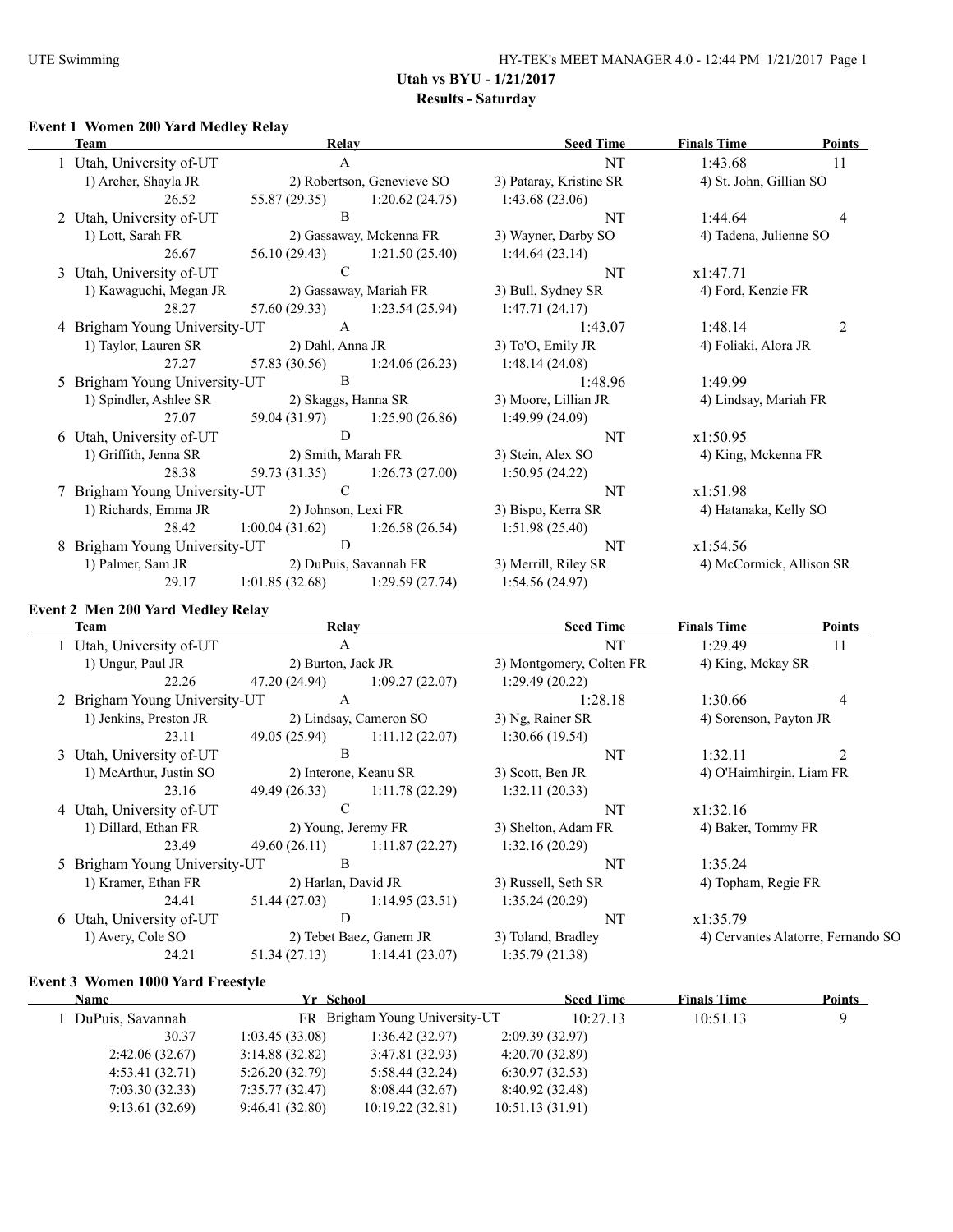#### **Event 1 Women 200 Yard Medley Relay**

| <b>Team</b> |                               | Relay                   |                               | <b>Seed Time</b>        | <b>Finals Time</b>       | <b>Points</b> |
|-------------|-------------------------------|-------------------------|-------------------------------|-------------------------|--------------------------|---------------|
|             | 1 Utah, University of-UT      | $\mathbf{A}$            |                               | NT                      | 1:43.68                  | 11            |
|             | 1) Archer, Shayla JR          |                         | 2) Robertson, Genevieve SO    | 3) Pataray, Kristine SR | 4) St. John, Gillian SO  |               |
|             | 26.52                         | 55.87 (29.35)           | 1:20.62(24.75)                | 1:43.68(23.06)          |                          |               |
|             | 2 Utah, University of-UT      | B                       |                               | NT                      | 1:44.64                  | 4             |
|             | 1) Lott, Sarah FR             | 2) Gassaway, Mckenna FR |                               | 3) Wayner, Darby SO     | 4) Tadena, Julienne SO   |               |
|             | 26.67                         | 56.10 (29.43)           | 1:21.50(25.40)                | 1:44.64(23.14)          |                          |               |
|             | 3 Utah, University of-UT      | $\mathcal{C}$           |                               | NT                      | x1:47.71                 |               |
|             | 1) Kawaguchi, Megan JR        |                         | 2) Gassaway, Mariah FR        | 3) Bull, Sydney SR      | 4) Ford, Kenzie FR       |               |
|             | 28.27                         | 57.60 (29.33)           | 1:23.54(25.94)                | 1:47.71(24.17)          |                          |               |
|             | 4 Brigham Young University-UT | A                       |                               | 1:43.07                 | 1:48.14                  | 2             |
|             | 1) Taylor, Lauren SR          | 2) Dahl, Anna JR        |                               | 3) To'O, Emily JR       | 4) Foliaki, Alora JR     |               |
|             | 27.27                         | 57.83 (30.56)           | 1:24.06(26.23)                | 1:48.14(24.08)          |                          |               |
|             | 5 Brigham Young University-UT | B                       |                               | 1:48.96                 | 1:49.99                  |               |
|             | 1) Spindler, Ashlee SR        |                         | 2) Skaggs, Hanna SR           | 3) Moore, Lillian JR    | 4) Lindsay, Mariah FR    |               |
|             | 27.07                         | 59.04 (31.97)           | 1:25.90(26.86)                | 1:49.99(24.09)          |                          |               |
|             | 6 Utah, University of-UT      | D                       |                               | NT                      | x1:50.95                 |               |
|             | 1) Griffith, Jenna SR         | 2) Smith, Marah FR      |                               | 3) Stein, Alex SO       | 4) King, Mckenna FR      |               |
|             | 28.38                         |                         | 59.73 (31.35) 1:26.73 (27.00) | 1:50.95(24.22)          |                          |               |
|             | 7 Brigham Young University-UT | $\mathcal{C}$           |                               | NT                      | x1:51.98                 |               |
|             | 1) Richards, Emma JR          | 2) Johnson, Lexi FR     |                               | 3) Bispo, Kerra SR      | 4) Hatanaka, Kelly SO    |               |
|             | 28.42                         | 1:00.04(31.62)          | 1:26.58(26.54)                | 1:51.98(25.40)          |                          |               |
|             | 8 Brigham Young University-UT | D                       |                               | NT                      | x1:54.56                 |               |
|             | 1) Palmer, Sam JR             |                         | 2) DuPuis, Savannah FR        | 3) Merrill, Riley SR    | 4) McCormick, Allison SR |               |
|             | 29.17                         | 1:01.85(32.68)          | 1:29.59(27.74)                | 1:54.56 (24.97)         |                          |               |

# **Event 2 Men 200 Yard Medley Relay**

 $\mathbb{R}$ 

| Team                          | Relay                 |                         | <b>Seed Time</b>         | <b>Finals Time</b>       | <b>Points</b>                      |
|-------------------------------|-----------------------|-------------------------|--------------------------|--------------------------|------------------------------------|
| 1 Utah, University of-UT      | A                     |                         | NT                       | 1:29.49                  | 11                                 |
| 1) Ungur, Paul JR             | 2) Burton, Jack JR    |                         | 3) Montgomery, Colten FR | 4) King, Mckay SR        |                                    |
| 22.26                         | 47.20 (24.94)         | 1:09.27(22.07)          | 1:29.49(20.22)           |                          |                                    |
| 2 Brigham Young University-UT | $\mathbf{A}$          |                         | 1:28.18                  | 1:30.66                  | 4                                  |
| 1) Jenkins, Preston JR        |                       | 2) Lindsay, Cameron SO  | 3) Ng, Rainer SR         | 4) Sorenson, Payton JR   |                                    |
| 23.11                         | 49.05 (25.94)         | 1:11.12(22.07)          | 1:30.66(19.54)           |                          |                                    |
| 3 Utah, University of-UT      | B                     |                         | NT                       | 1:32.11                  |                                    |
| 1) McArthur, Justin SO        | 2) Interone, Keanu SR |                         | 3) Scott, Ben JR         | 4) O'Haimhirgin, Liam FR |                                    |
| 23.16                         | 49.49 (26.33)         | 1:11.78(22.29)          | 1:32.11(20.33)           |                          |                                    |
| 4 Utah, University of-UT      | C                     |                         | NT                       | x1:32.16                 |                                    |
| 1) Dillard, Ethan FR          |                       | 2) Young, Jeremy FR     | 3) Shelton, Adam FR      | 4) Baker, Tommy FR       |                                    |
| 23.49                         | 49.60 (26.11)         | 1:11.87(22.27)          | 1:32.16(20.29)           |                          |                                    |
| 5 Brigham Young University-UT | B                     |                         | NT                       | 1:35.24                  |                                    |
| 1) Kramer, Ethan FR           | 2) Harlan, David JR   |                         | 3) Russell, Seth SR      | 4) Topham, Regie FR      |                                    |
| 24.41                         | 51.44 (27.03)         | 1:14.95(23.51)          | 1:35.24(20.29)           |                          |                                    |
| 6 Utah, University of-UT      | D                     |                         | NT                       | x1:35.79                 |                                    |
| 1) Avery, Cole SO             |                       | 2) Tebet Baez, Ganem JR | 3) Toland, Bradley       |                          | 4) Cervantes Alatorre, Fernando SO |
| 24.21                         | 51.34 (27.13)         | 1:14.41(23.07)          | 1:35.79(21.38)           |                          |                                    |
|                               |                       |                         |                          |                          |                                    |

#### **Event 3 Women 1000 Yard Freestyle**

| <b>Name</b>        | Yr School      |                                |                 | <b>Seed Time</b> | <b>Finals Time</b> | <b>Points</b> |
|--------------------|----------------|--------------------------------|-----------------|------------------|--------------------|---------------|
| 1 DuPuis, Savannah |                | FR Brigham Young University-UT |                 | 10:27.13         | 10:51.13           | 9             |
| 30.37              | 1:03.45(33.08) | 1:36.42(32.97)                 | 2:09.39(32.97)  |                  |                    |               |
| 2:42.06(32.67)     | 3:14.88(32.82) | 3:47.81(32.93)                 | 4:20.70(32.89)  |                  |                    |               |
| 4:53.41(32.71)     | 5:26.20(32.79) | 5:58.44(32.24)                 | 6:30.97(32.53)  |                  |                    |               |
| 7:03.30(32.33)     | 7:35.77(32.47) | 8:08.44 (32.67)                | 8:40.92 (32.48) |                  |                    |               |
| 9:13.61(32.69)     | 9:46.41(32.80) | 10:19.22(32.81)                | 10:51.13(31.91) |                  |                    |               |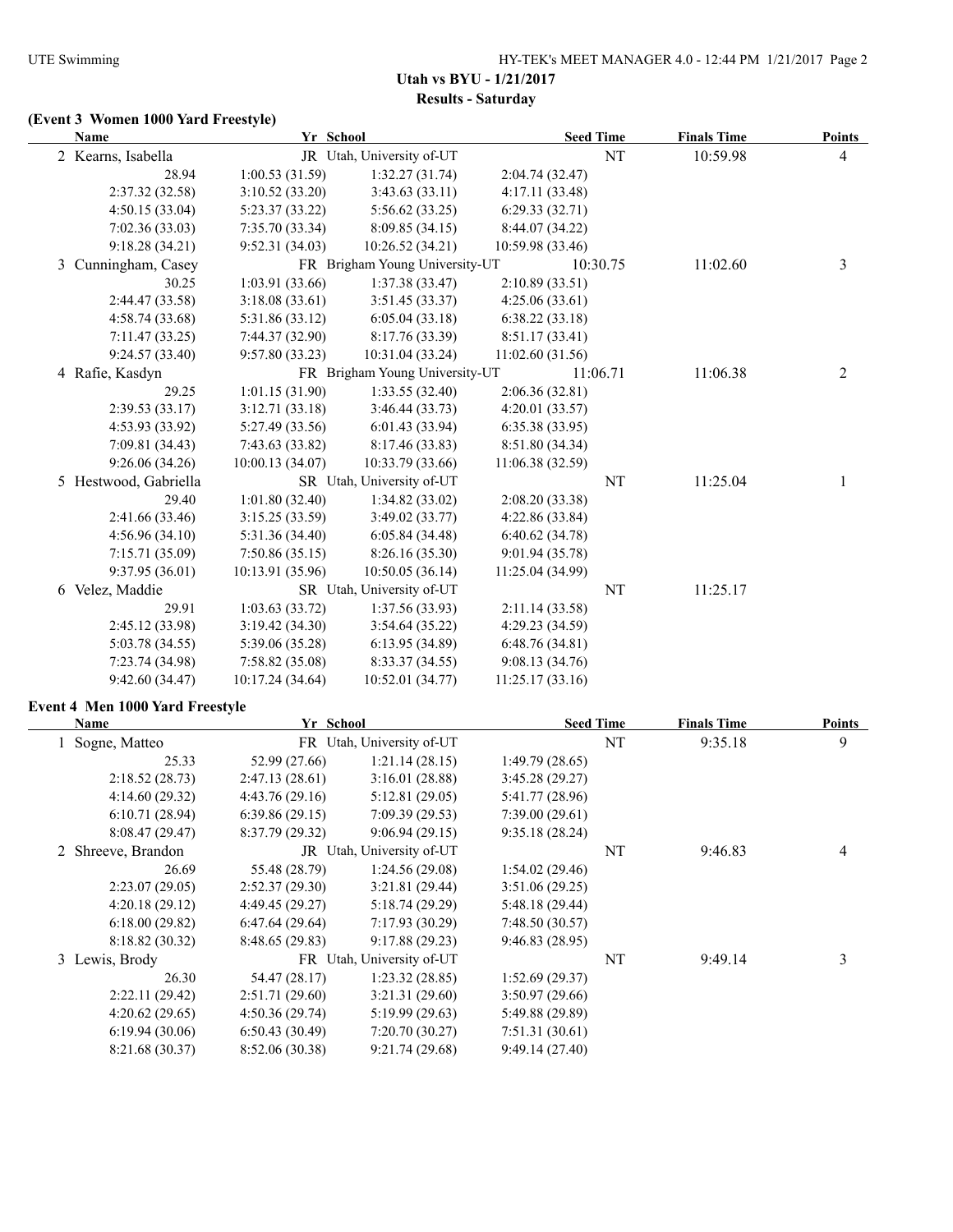# **(Event 3 Women 1000 Yard Freestyle)**

| Yr School<br>Name     |                  | <b>Seed Time</b>               |                  | <b>Finals Time</b> | <b>Points</b> |   |
|-----------------------|------------------|--------------------------------|------------------|--------------------|---------------|---|
| 2 Kearns, Isabella    |                  | JR Utah, University of-UT      |                  | NT                 | 10:59.98      | 4 |
| 28.94                 | 1:00.53(31.59)   | 1:32.27(31.74)                 | 2:04.74 (32.47)  |                    |               |   |
| 2:37.32 (32.58)       | 3:10.52(33.20)   | 3:43.63(33.11)                 | 4:17.11(33.48)   |                    |               |   |
| 4:50.15(33.04)        | 5:23.37(33.22)   | 5:56.62(33.25)                 | 6:29.33(32.71)   |                    |               |   |
| 7:02.36(33.03)        | 7:35.70(33.34)   | 8:09.85 (34.15)                | 8:44.07 (34.22)  |                    |               |   |
| 9:18.28(34.21)        | 9:52.31(34.03)   | 10:26.52 (34.21)               | 10:59.98 (33.46) |                    |               |   |
| 3 Cunningham, Casey   |                  | FR Brigham Young University-UT | 10:30.75         |                    | 11:02.60      | 3 |
| 30.25                 | 1:03.91(33.66)   | 1:37.38(33.47)                 | 2:10.89(33.51)   |                    |               |   |
| 2:44.47 (33.58)       | 3:18.08(33.61)   | 3:51.45(33.37)                 | 4:25.06(33.61)   |                    |               |   |
| 4:58.74 (33.68)       | 5:31.86 (33.12)  | 6:05.04(33.18)                 | 6:38.22(33.18)   |                    |               |   |
| 7:11.47(33.25)        | 7:44.37(32.90)   | 8:17.76 (33.39)                | 8:51.17(33.41)   |                    |               |   |
| 9:24.57(33.40)        | 9:57.80(33.23)   | 10:31.04 (33.24)               | 11:02.60(31.56)  |                    |               |   |
| 4 Rafie, Kasdyn       |                  | FR Brigham Young University-UT | 11:06.71         |                    | 11:06.38      | 2 |
| 29.25                 | 1:01.15(31.90)   | 1:33.55(32.40)                 | 2:06.36(32.81)   |                    |               |   |
| 2:39.53(33.17)        | 3:12.71(33.18)   | 3:46.44(33.73)                 | 4:20.01(33.57)   |                    |               |   |
| 4:53.93(33.92)        | 5:27.49 (33.56)  | 6:01.43(33.94)                 | 6:35.38(33.95)   |                    |               |   |
| 7:09.81 (34.43)       | 7:43.63(33.82)   | 8:17.46 (33.83)                | 8:51.80 (34.34)  |                    |               |   |
| 9:26.06(34.26)        | 10:00.13 (34.07) | 10:33.79 (33.66)               | 11:06.38(32.59)  |                    |               |   |
| 5 Hestwood, Gabriella |                  | SR Utah, University of-UT      |                  | NT                 | 11:25.04      |   |
| 29.40                 | 1:01.80(32.40)   | 1:34.82(33.02)                 | 2:08.20(33.38)   |                    |               |   |
| 2:41.66 (33.46)       | 3:15.25(33.59)   | 3:49.02(33.77)                 | 4:22.86(33.84)   |                    |               |   |
| 4:56.96 (34.10)       | 5:31.36(34.40)   | 6:05.84(34.48)                 | 6:40.62(34.78)   |                    |               |   |
| 7:15.71(35.09)        | 7:50.86(35.15)   | 8:26.16 (35.30)                | 9:01.94 (35.78)  |                    |               |   |
| 9:37.95(36.01)        | 10:13.91(35.96)  | 10:50.05(36.14)                | 11:25.04 (34.99) |                    |               |   |
| 6 Velez, Maddie       |                  | SR Utah, University of-UT      |                  | NT                 | 11:25.17      |   |
| 29.91                 | 1:03.63(33.72)   | 1:37.56(33.93)                 | 2:11.14(33.58)   |                    |               |   |
| 2:45.12 (33.98)       | 3:19.42(34.30)   | 3:54.64 (35.22)                | 4:29.23(34.59)   |                    |               |   |
| 5:03.78(34.55)        | 5:39.06 (35.28)  | 6:13.95(34.89)                 | 6:48.76(34.81)   |                    |               |   |
| 7:23.74 (34.98)       | 7:58.82(35.08)   | 8:33.37 (34.55)                | 9:08.13(34.76)   |                    |               |   |
| 9:42.60(34.47)        | 10:17.24 (34.64) | 10:52.01 (34.77)               | 11:25.17(33.16)  |                    |               |   |

#### **Event 4 Men 1000 Yard Freestyle**

| Name               | Yr School      |                           |                 | <b>Seed Time</b> | <b>Finals Time</b> | <b>Points</b> |
|--------------------|----------------|---------------------------|-----------------|------------------|--------------------|---------------|
| Sogne, Matteo      | FR             | Utah, University of-UT    |                 | NT               | 9:35.18            | 9             |
| 25.33              | 52.99 (27.66)  | 1:21.14(28.15)            | 1:49.79(28.65)  |                  |                    |               |
| 2:18.52(28.73)     | 2:47.13(28.61) | 3:16.01(28.88)            | 3:45.28(29.27)  |                  |                    |               |
| 4:14.60(29.32)     | 4:43.76(29.16) | 5:12.81(29.05)            | 5:41.77 (28.96) |                  |                    |               |
| 6:10.71(28.94)     | 6:39.86(29.15) | 7:09.39(29.53)            | 7:39.00(29.61)  |                  |                    |               |
| 8:08.47(29.47)     | 8:37.79(29.32) | 9:06.94(29.15)            | 9:35.18(28.24)  |                  |                    |               |
| 2 Shreeve, Brandon |                | JR Utah, University of-UT |                 | NT               | 9:46.83            | 4             |
| 26.69              | 55.48 (28.79)  | 1:24.56(29.08)            | 1:54.02(29.46)  |                  |                    |               |
| 2:23.07(29.05)     | 2:52.37(29.30) | 3:21.81(29.44)            | 3:51.06(29.25)  |                  |                    |               |
| 4:20.18(29.12)     | 4:49.45(29.27) | 5:18.74(29.29)            | 5:48.18(29.44)  |                  |                    |               |
| 6:18.00(29.82)     | 6:47.64(29.64) | 7:17.93(30.29)            | 7:48.50(30.57)  |                  |                    |               |
| 8:18.82(30.32)     | 8:48.65(29.83) | 9:17.88(29.23)            | 9:46.83(28.95)  |                  |                    |               |
| 3 Lewis, Brody     |                | FR Utah, University of-UT |                 | NT               | 9:49.14            | 3             |
| 26.30              | 54.47 (28.17)  | 1:23.32(28.85)            | 1:52.69(29.37)  |                  |                    |               |
| 2:22.11(29.42)     | 2:51.71(29.60) | 3:21.31(29.60)            | 3:50.97(29.66)  |                  |                    |               |
| 4:20.62(29.65)     | 4:50.36(29.74) | 5:19.99(29.63)            | 5:49.88 (29.89) |                  |                    |               |
| 6:19.94(30.06)     | 6:50.43(30.49) | 7:20.70(30.27)            | 7:51.31(30.61)  |                  |                    |               |
| 8:21.68(30.37)     | 8:52.06(30.38) | 9:21.74(29.68)            | 9:49.14(27.40)  |                  |                    |               |
|                    |                |                           |                 |                  |                    |               |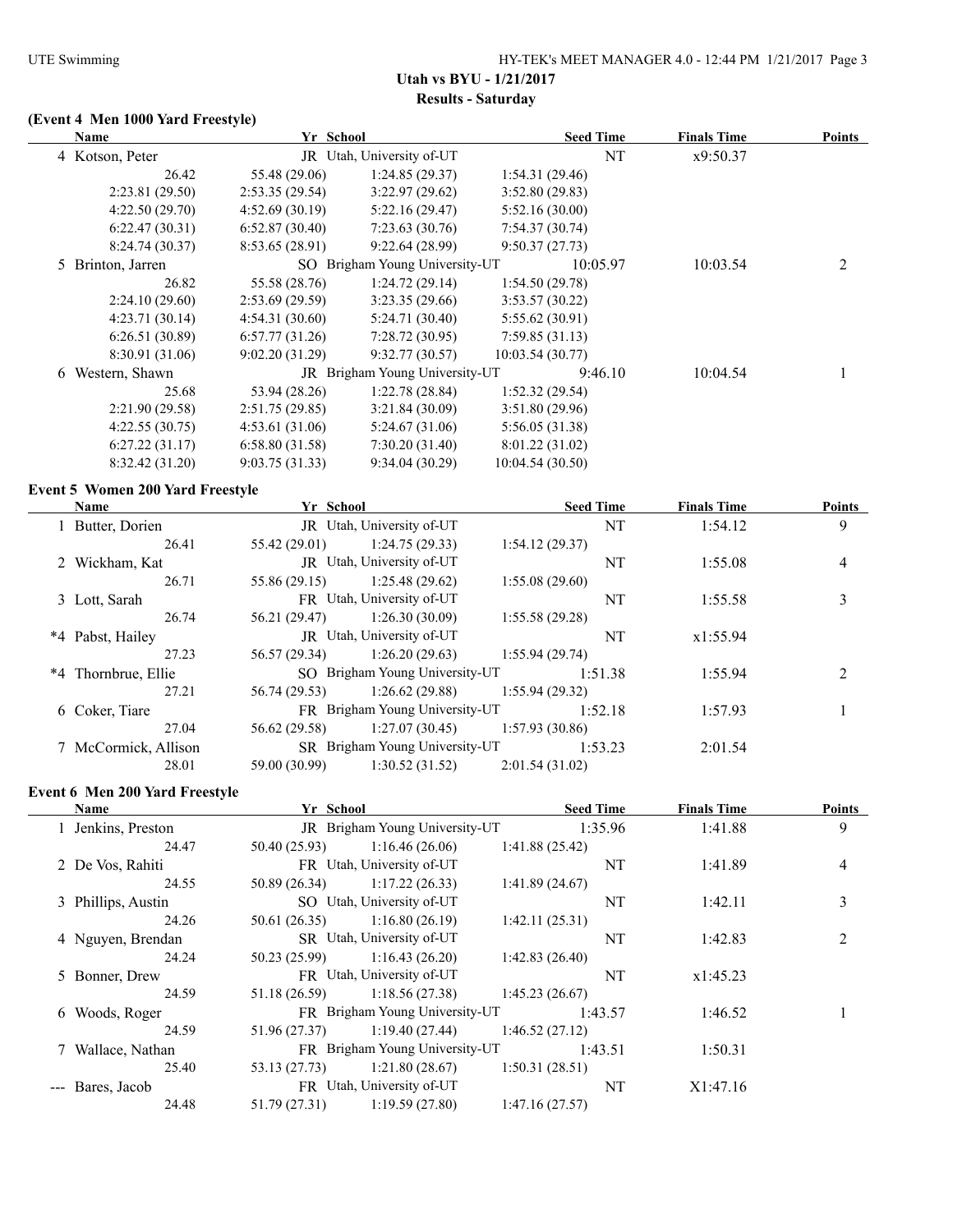# **(Event 4 Men 1000 Yard Freestyle)**

| Yr School<br><b>Name</b> |                                         | <b>Seed Time</b> | <b>Finals Time</b>             | <b>Points</b>    |                    |                |
|--------------------------|-----------------------------------------|------------------|--------------------------------|------------------|--------------------|----------------|
|                          | 4 Kotson, Peter                         |                  | JR Utah, University of-UT      | NT               | x9:50.37           |                |
|                          | 26.42                                   | 55.48 (29.06)    | 1:24.85(29.37)                 | 1:54.31(29.46)   |                    |                |
|                          | 2:23.81 (29.50)                         | 2:53.35(29.54)   | 3:22.97(29.62)                 | 3:52.80(29.83)   |                    |                |
|                          | 4:22.50(29.70)                          | 4:52.69(30.19)   | 5:22.16(29.47)                 | 5:52.16(30.00)   |                    |                |
|                          | 6:22.47(30.31)                          | 6:52.87(30.40)   | 7:23.63(30.76)                 | 7:54.37(30.74)   |                    |                |
|                          | 8:24.74 (30.37)                         | 8:53.65(28.91)   | 9:22.64(28.99)                 | 9:50.37(27.73)   |                    |                |
|                          | 5 Brinton, Jarren                       |                  | SO Brigham Young University-UT | 10:05.97         | 10:03.54           | 2              |
|                          | 26.82                                   | 55.58 (28.76)    | 1:24.72(29.14)                 | 1:54.50(29.78)   |                    |                |
|                          | 2:24.10(29.60)                          | 2:53.69(29.59)   | 3:23.35(29.66)                 | 3:53.57(30.22)   |                    |                |
|                          | 4:23.71(30.14)                          | 4:54.31(30.60)   | 5:24.71 (30.40)                | 5:55.62 (30.91)  |                    |                |
|                          | 6:26.51(30.89)                          | 6:57.77(31.26)   | 7:28.72(30.95)                 | 7:59.85(31.13)   |                    |                |
|                          | 8:30.91 (31.06)                         | 9:02.20(31.29)   | 9:32.77(30.57)                 | 10:03.54 (30.77) |                    |                |
|                          | 6 Western, Shawn                        |                  | JR Brigham Young University-UT | 9:46.10          | 10:04.54           | 1              |
|                          | 25.68                                   | 53.94 (28.26)    | 1:22.78(28.84)                 | 1:52.32(29.54)   |                    |                |
|                          | 2:21.90 (29.58)                         | 2:51.75(29.85)   | 3:21.84(30.09)                 | 3:51.80(29.96)   |                    |                |
|                          | 4:22.55(30.75)                          | 4:53.61(31.06)   | 5:24.67(31.06)                 | 5:56.05 (31.38)  |                    |                |
|                          | 6:27.22(31.17)                          | 6:58.80(31.58)   | 7:30.20(31.40)                 | 8:01.22(31.02)   |                    |                |
|                          | 8:32.42 (31.20)                         | 9:03.75(31.33)   | 9:34.04(30.29)                 | 10:04.54 (30.50) |                    |                |
|                          | <b>Event 5 Women 200 Yard Freestyle</b> |                  |                                |                  |                    |                |
|                          | <b>Name</b>                             | Yr School        |                                | <b>Seed Time</b> | <b>Finals Time</b> | <b>Points</b>  |
|                          | 1 Butter, Dorien                        |                  | JR Utah, University of-UT      | NT               | 1:54.12            | 9              |
|                          | 26.41                                   | 55.42 (29.01)    | 1:24.75 (29.33)                | 1:54.12(29.37)   |                    |                |
|                          | 2 Wickham, Kat                          |                  | JR Utah, University of-UT      | NT               | 1:55.08            | 4              |
|                          | 26.71                                   | 55.86 (29.15)    | 1:25.48(29.62)                 | 1:55.08(29.60)   |                    |                |
|                          | 3 Lott, Sarah                           |                  | FR Utah, University of-UT      | NT               | 1:55.58            | 3              |
|                          | 26.74                                   | 56.21 (29.47)    | 1:26.30(30.09)                 | 1:55.58(29.28)   |                    |                |
|                          | *4 Pabst, Hailey                        |                  | JR Utah, University of-UT      | NT               | x1:55.94           |                |
|                          | 27.23                                   | 56.57 (29.34)    | 1:26.20(29.63)                 | 1:55.94(29.74)   |                    |                |
|                          | *4 Thornbrue, Ellie                     |                  | SO Brigham Young University-UT | 1:51.38          | 1:55.94            | $\overline{c}$ |

|                      | 27.21 | 56.74 (29.53) | $1:26.62(29.88)$ $1:55.94(29.32)$              |                |         |         |  |
|----------------------|-------|---------------|------------------------------------------------|----------------|---------|---------|--|
| 6 Coker, Tiare       |       |               | FR Brigham Young University-UT                 |                | 1:52.18 | 1:57.93 |  |
|                      | 27.04 |               | $56.62(29.58)$ 1:27.07 (30.45) 1:57.93 (30.86) |                |         |         |  |
| 7 McCormick, Allison |       |               | <b>SR</b> Brigham Young University-UT          |                | 1:53.23 | 2:01.54 |  |
|                      | 28.01 | 59.00 (30.99) | 1:30.52(31.52)                                 | 2:01.54(31.02) |         |         |  |
|                      |       |               |                                                |                |         |         |  |

# **Event 6 Men 200 Yard Freestyle**

| <b>Name</b>        | Yr School     |                                | <b>Seed Time</b> | <b>Finals Time</b> | <b>Points</b>  |
|--------------------|---------------|--------------------------------|------------------|--------------------|----------------|
| 1 Jenkins, Preston |               | JR Brigham Young University-UT | 1:35.96          | 1:41.88            | 9              |
| 24.47              | 50.40 (25.93) | 1:16.46(26.06)                 | 1:41.88(25.42)   |                    |                |
| 2 De Vos, Rahiti   |               | FR Utah, University of-UT      | NT               | 1:41.89            | 4              |
| 24.55              | 50.89 (26.34) | 1:17.22(26.33)                 | 1:41.89(24.67)   |                    |                |
| 3 Phillips, Austin |               | SO Utah, University of-UT      |                  | 1:42.11            | 3              |
| 24.26              | 50.61 (26.35) | 1:16.80(26.19)                 | 1:42.11(25.31)   |                    |                |
| 4 Nguyen, Brendan  |               | SR Utah, University of-UT      | NT               | 1:42.83            | $\overline{2}$ |
| 24.24              | 50.23 (25.99) | 1:16.43(26.20)                 | 1:42.83(26.40)   |                    |                |
| 5 Bonner, Drew     |               | FR Utah, University of-UT      | NT               | x1:45.23           |                |
| 24.59              | 51.18 (26.59) | 1:18.56(27.38)                 | 1:45.23(26.67)   |                    |                |
| 6 Woods, Roger     |               | FR Brigham Young University-UT | 1:43.57          | 1:46.52            |                |
| 24.59              | 51.96 (27.37) | 1:19.40(27.44)                 | 1:46.52(27.12)   |                    |                |
| 7 Wallace, Nathan  |               | FR Brigham Young University-UT | 1:43.51          | 1:50.31            |                |
| 25.40              | 53.13 (27.73) | 1:21.80(28.67)                 | 1:50.31(28.51)   |                    |                |
| --- Bares, Jacob   |               | FR Utah, University of-UT      | NT               | X1:47.16           |                |
| 24.48              | 51.79 (27.31) | 1:19.59(27.80)                 | 1:47.16(27.57)   |                    |                |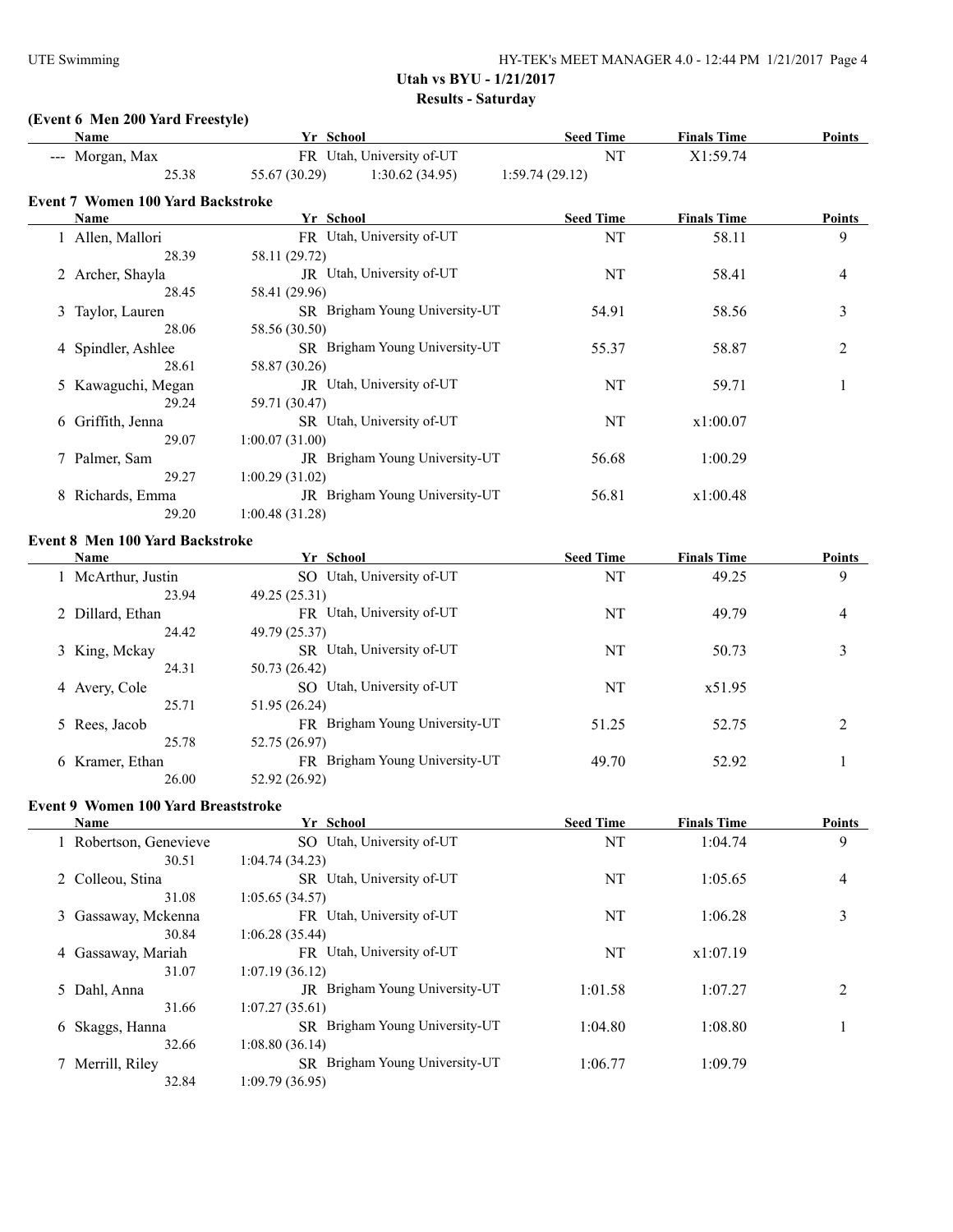# **(Event 6 Men 200 Yard Freestyle)**

|   | Name                                   |                | Yr School                      | <b>Seed Time</b> | <b>Finals Time</b> | <b>Points</b> |
|---|----------------------------------------|----------------|--------------------------------|------------------|--------------------|---------------|
|   | --- Morgan, Max                        |                | FR Utah, University of-UT      | NT               | X1:59.74           |               |
|   | 25.38                                  | 55.67 (30.29)  | 1:30.62(34.95)                 | 1:59.74(29.12)   |                    |               |
|   | Event 7 Women 100 Yard Backstroke      |                |                                |                  |                    |               |
|   | Name                                   |                | Yr School                      | <b>Seed Time</b> | <b>Finals Time</b> | <b>Points</b> |
|   | 1 Allen, Mallori                       |                | FR Utah, University of-UT      | NT               | 58.11              | 9             |
|   | 28.39                                  | 58.11 (29.72)  |                                |                  |                    |               |
|   | 2 Archer, Shayla                       |                | JR Utah, University of-UT      | NT               | 58.41              | 4             |
|   | 28.45                                  | 58.41 (29.96)  |                                |                  |                    |               |
|   | 3 Taylor, Lauren                       |                | SR Brigham Young University-UT | 54.91            | 58.56              | 3             |
|   | 28.06                                  | 58.56 (30.50)  |                                |                  |                    |               |
|   | 4 Spindler, Ashlee                     |                | SR Brigham Young University-UT | 55.37            | 58.87              | 2             |
|   | 28.61                                  | 58.87 (30.26)  |                                |                  |                    |               |
|   | 5 Kawaguchi, Megan                     |                | JR Utah, University of-UT      | NT               | 59.71              | 1             |
|   | 29.24                                  | 59.71 (30.47)  |                                |                  |                    |               |
|   | 6 Griffith, Jenna                      |                | SR Utah, University of-UT      | NT               | x1:00.07           |               |
|   | 29.07                                  | 1:00.07(31.00) |                                |                  |                    |               |
|   | 7 Palmer, Sam                          |                | JR Brigham Young University-UT | 56.68            | 1:00.29            |               |
|   | 29.27                                  | 1:00.29(31.02) |                                |                  |                    |               |
|   | 8 Richards, Emma                       |                | JR Brigham Young University-UT | 56.81            | x1:00.48           |               |
|   | 29.20                                  | 1:00.48(31.28) |                                |                  |                    |               |
|   |                                        |                |                                |                  |                    |               |
|   | <b>Event 8 Men 100 Yard Backstroke</b> |                |                                |                  |                    |               |
|   | <b>Name</b>                            |                | Yr School                      | <b>Seed Time</b> | <b>Finals Time</b> | <b>Points</b> |
|   | 1 McArthur, Justin                     |                | SO Utah, University of-UT      | NT               | 49.25              | 9             |
|   | 23.94                                  | 49.25 (25.31)  |                                |                  |                    |               |
|   | 2 Dillard, Ethan                       |                | FR Utah, University of-UT      | NT               | 49.79              | 4             |
|   | 24.42                                  | 49.79 (25.37)  |                                |                  |                    |               |
|   | 3 King, Mckay                          |                | SR Utah, University of-UT      | NT               | 50.73              | 3             |
|   | 24.31                                  | 50.73 (26.42)  |                                |                  |                    |               |
|   | 4 Avery, Cole                          |                | SO Utah, University of-UT      | NT               | x51.95             |               |
|   | 25.71                                  | 51.95 (26.24)  |                                |                  |                    |               |
|   | 5 Rees, Jacob                          |                | FR Brigham Young University-UT | 51.25            | 52.75              | 2             |
|   | 25.78                                  | 52.75 (26.97)  |                                |                  |                    |               |
|   | 6 Kramer, Ethan                        |                | FR Brigham Young University-UT | 49.70            | 52.92              | 1             |
|   | 26.00                                  | 52.92 (26.92)  |                                |                  |                    |               |
|   | Event 9 Women 100 Yard Breaststroke    |                |                                |                  |                    |               |
|   | <b>Name</b>                            |                | Yr School                      | <b>Seed Time</b> | <b>Finals Time</b> | <b>Points</b> |
|   | 1 Robertson, Genevieve                 |                | SO Utah, University of-UT      | NT               | 1:04.74            | 9             |
|   | 30.51                                  | 1:04.74(34.23) |                                |                  |                    |               |
|   | 2 Colleou, Stina                       |                | SR Utah, University of-UT      | NT               | 1:05.65            | 4             |
|   | 31.08                                  | 1:05.65(34.57) |                                |                  |                    |               |
| 3 | Gassaway, Mckenna                      |                | FR Utah, University of-UT      | NT               | 1:06.28            | 3             |
|   | 30.84                                  | 1:06.28(35.44) |                                |                  |                    |               |
|   | 4 Gassaway, Mariah                     |                | FR Utah, University of-UT      | NT               | x1:07.19           |               |
|   | 31.07                                  | 1:07.19(36.12) |                                |                  |                    |               |
|   | 5 Dahl, Anna                           |                | JR Brigham Young University-UT | 1:01.58          | 1:07.27            | 2             |
|   | 31.66                                  | 1:07.27(35.61) |                                |                  |                    |               |
|   | 6 Skaggs, Hanna                        |                | SR Brigham Young University-UT | 1:04.80          | 1:08.80            | 1             |
|   | 32.66                                  | 1:08.80(36.14) |                                |                  |                    |               |
|   | 7 Merrill, Riley                       |                | SR Brigham Young University-UT | 1:06.77          | 1:09.79            |               |
|   | 32.84                                  | 1:09.79(36.95) |                                |                  |                    |               |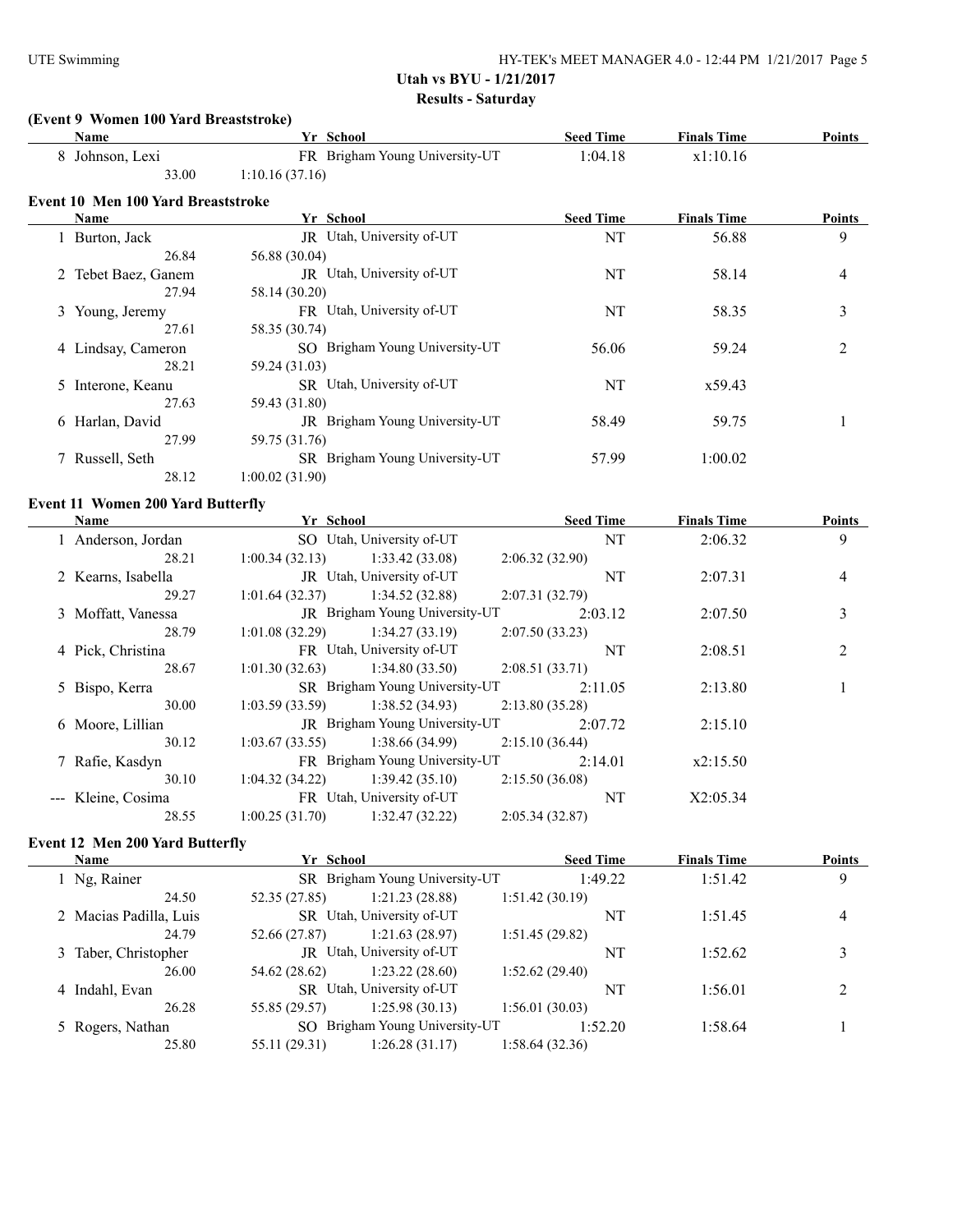#### **(Event 9 Women 100 Yard Breaststroke)**

| Name                               | Yr School                      | <b>Seed Time</b> | <b>Finals Time</b> | <b>Points</b> |
|------------------------------------|--------------------------------|------------------|--------------------|---------------|
| 8 Johnson, Lexi                    | FR Brigham Young University-UT | 1:04.18          | x1:10.16           |               |
| 33.00                              | 1:10.16(37.16)                 |                  |                    |               |
| Event 10 Men 100 Yard Breaststroke |                                |                  |                    |               |
| Name                               | Yr School                      | <b>Seed Time</b> | <b>Finals Time</b> | <b>Points</b> |
| 1 Burton, Jack                     | JR Utah, University of-UT      | NT               | 56.88              | 9             |
| 26.84                              | 56.88 (30.04)                  |                  |                    |               |
| 2 Tebet Baez, Ganem                | JR Utah, University of-UT      | NT               | 58.14              | 4             |
| 27.94                              | 58.14 (30.20)                  |                  |                    |               |
| 3 Young, Jeremy                    | FR Utah, University of-UT      | NT               | 58.35              | 3             |
| 27.61                              | 58.35 (30.74)                  |                  |                    |               |
| 4 Lindsay, Cameron                 | SO Brigham Young University-UT | 56.06            | 59.24              | 2             |
| 28.21                              | 59.24 (31.03)                  |                  |                    |               |
| 5 Interone, Keanu                  | SR Utah, University of-UT      | NT               | x59.43             |               |
| 27.63                              | 59.43 (31.80)                  |                  |                    |               |
| 6 Harlan, David                    | JR Brigham Young University-UT | 58.49            | 59.75              |               |
| 27.99                              | 59.75 (31.76)                  |                  |                    |               |
| 7 Russell, Seth                    | SR Brigham Young University-UT | 57.99            | 1:00.02            |               |
| 28.12                              | 1:00.02(31.90)                 |                  |                    |               |

#### **Event 11 Women 200 Yard Butterfly**

| <b>Name</b>        | Yr School      |                                       | <b>Seed Time</b> | <b>Finals Time</b> | Points         |
|--------------------|----------------|---------------------------------------|------------------|--------------------|----------------|
| 1 Anderson, Jordan |                | SO Utah, University of-UT             | NT               | 2:06.32            | 9              |
| 28.21              | 1:00.34(32.13) | 1:33.42(33.08)                        | 2:06.32(32.90)   |                    |                |
| 2 Kearns, Isabella |                | JR Utah, University of-UT             | NT               | 2:07.31            | $\overline{4}$ |
| 29.27              | 1:01.64(32.37) | 1:34.52(32.88)                        | 2:07.31(32.79)   |                    |                |
| 3 Moffatt, Vanessa |                | JR Brigham Young University-UT        | 2:03.12          | 2:07.50            | 3              |
| 28.79              | 1:01.08(32.29) | 1:34.27(33.19)                        | 2:07.50(33.23)   |                    |                |
| 4 Pick, Christina  |                | FR Utah, University of-UT             | NT               | 2:08.51            | $\overline{2}$ |
| 28.67              | 1:01.30(32.63) | 1:34.80(33.50)                        | 2:08.51(33.71)   |                    |                |
| 5 Bispo, Kerra     |                | SR Brigham Young University-UT        | 2:11.05          | 2:13.80            |                |
| 30.00              | 1:03.59(33.59) | 1:38.52(34.93)                        | 2:13.80(35.28)   |                    |                |
| 6 Moore, Lillian   |                | <b>JR</b> Brigham Young University-UT | 2:07.72          | 2:15.10            |                |
| 30.12              | 1:03.67(33.55) | 1:38.66(34.99)                        | 2:15.10(36.44)   |                    |                |
| 7 Rafie, Kasdyn    |                | FR Brigham Young University-UT        | 2:14.01          | x2:15.50           |                |
| 30.10              | 1:04.32(34.22) | 1:39.42(35.10)                        | 2:15.50(36.08)   |                    |                |
| --- Kleine, Cosima |                | FR Utah, University of-UT             | NT               | X2:05.34           |                |
| 28.55              | 1:00.25(31.70) | 1:32.47(32.22)                        | 2:05.34(32.87)   |                    |                |
|                    |                |                                       |                  |                    |                |

#### **Event 12 Men 200 Yard Butterfly**

| Name                   | Yr School     |                                | <b>Seed Time</b> | <b>Finals Time</b> | <b>Points</b> |
|------------------------|---------------|--------------------------------|------------------|--------------------|---------------|
| 1 Ng, Rainer           |               | SR Brigham Young University-UT | 1:49.22          | 1:51.42            | 9             |
| 24.50                  | 52.35 (27.85) | 1:21.23(28.88)                 | 1:51.42(30.19)   |                    |               |
| 2 Macias Padilla, Luis |               | SR Utah, University of-UT      |                  | 1:51.45            | 4             |
| 24.79                  | 52.66 (27.87) | 1:21.63(28.97)                 | 1:51.45(29.82)   |                    |               |
| 3 Taber, Christopher   |               | JR Utah, University of-UT      | NT               | 1:52.62            | 3             |
| 26.00                  | 54.62 (28.62) | 1:23.22(28.60)                 | 1:52.62(29.40)   |                    |               |
| 4 Indahl, Evan         |               | SR Utah, University of-UT      | NT               | 1:56.01            | ◠             |
| 26.28                  | 55.85 (29.57) | 1:25.98(30.13)                 | 1:56.01 (30.03)  |                    |               |
| 5 Rogers, Nathan       |               | SO Brigham Young University-UT | 1:52.20          | 1:58.64            |               |
| 25.80                  | 55.11 (29.31) | 1:26.28(31.17)                 | 1:58.64 (32.36)  |                    |               |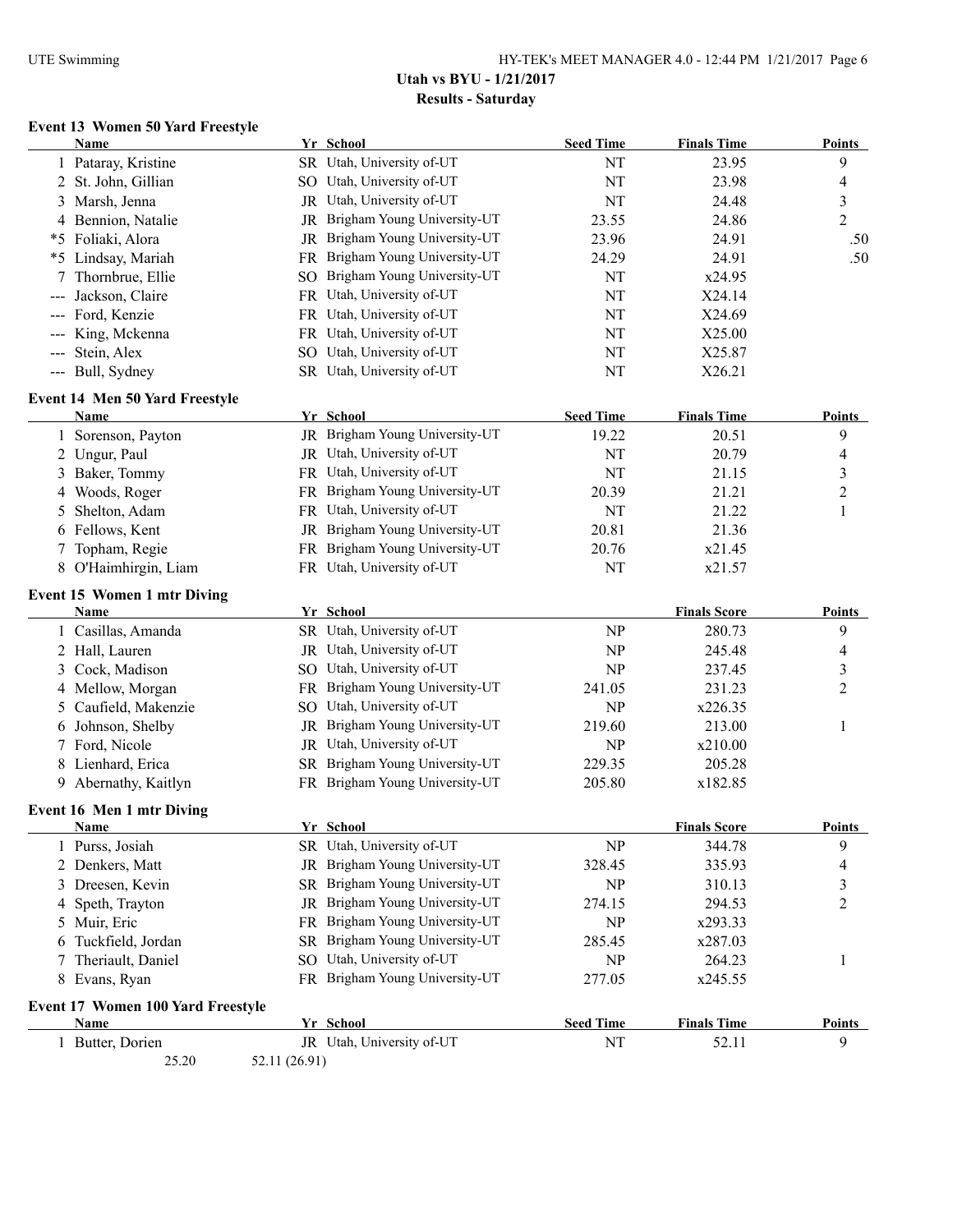# **Event 13 Women 50 Yard Freestyle**

|   | <b>Name</b>                              |               | Yr School                      | <b>Seed Time</b> | <b>Finals Time</b>  | <b>Points</b>  |
|---|------------------------------------------|---------------|--------------------------------|------------------|---------------------|----------------|
|   | 1 Pataray, Kristine                      |               | SR Utah, University of-UT      | NT               | 23.95               | 9              |
|   | 2 St. John, Gillian                      |               | SO Utah, University of-UT      | NT               | 23.98               | 4              |
|   | 3 Marsh, Jenna                           |               | JR Utah, University of-UT      | NT               | 24.48               | 3              |
|   | 4 Bennion, Natalie                       |               | JR Brigham Young University-UT | 23.55            | 24.86               | $\overline{2}$ |
|   | *5 Foliaki, Alora                        |               | JR Brigham Young University-UT | 23.96            | 24.91               | .50            |
|   | *5 Lindsay, Mariah                       |               | FR Brigham Young University-UT | 24.29            | 24.91               | .50            |
|   | Thornbrue, Ellie                         |               | SO Brigham Young University-UT | NT               | x24.95              |                |
|   | Jackson, Claire                          |               | FR Utah, University of-UT      | NT               | X24.14              |                |
|   | Ford, Kenzie                             |               | FR Utah, University of-UT      | NT               | X24.69              |                |
|   | King, Mckenna                            |               | FR Utah, University of-UT      | NT               | X25.00              |                |
|   | Stein, Alex                              |               | SO Utah, University of-UT      | NT               | X25.87              |                |
|   | --- Bull, Sydney                         |               | SR Utah, University of-UT      | NT               | X26.21              |                |
|   | <b>Event 14 Men 50 Yard Freestyle</b>    |               |                                |                  |                     |                |
|   | Name                                     |               | Yr School                      | <b>Seed Time</b> | <b>Finals Time</b>  | <b>Points</b>  |
|   | 1 Sorenson, Payton                       |               | JR Brigham Young University-UT | 19.22            | 20.51               | 9              |
|   | 2 Ungur, Paul                            |               | JR Utah, University of-UT      | NT               | 20.79               | 4              |
|   | 3 Baker, Tommy                           |               | FR Utah, University of-UT      | NT               | 21.15               | 3              |
|   | 4 Woods, Roger                           |               | FR Brigham Young University-UT | 20.39            | 21.21               | $\overline{2}$ |
| 5 | Shelton, Adam                            |               | FR Utah, University of-UT      | NT               | 21.22               | 1              |
|   | 6 Fellows, Kent                          |               | JR Brigham Young University-UT | 20.81            | 21.36               |                |
|   | 7 Topham, Regie                          |               | FR Brigham Young University-UT | 20.76            | x21.45              |                |
|   | 8 O'Haimhirgin, Liam                     |               | FR Utah, University of-UT      | NT               | x21.57              |                |
|   | <b>Event 15 Women 1 mtr Diving</b>       |               |                                |                  |                     |                |
|   | Name                                     |               | Yr School                      |                  | <b>Finals Score</b> | <b>Points</b>  |
|   | 1 Casillas, Amanda                       |               | SR Utah, University of-UT      | NP               | 280.73              | 9              |
|   | 2 Hall, Lauren                           |               | JR Utah, University of-UT      | <b>NP</b>        | 245.48              | 4              |
|   | 3 Cock, Madison                          |               | SO Utah, University of-UT      | <b>NP</b>        | 237.45              | 3              |
|   | 4 Mellow, Morgan                         |               | FR Brigham Young University-UT | 241.05           | 231.23              | $\overline{c}$ |
|   | 5 Caufield, Makenzie                     |               | SO Utah, University of-UT      | <b>NP</b>        | x226.35             |                |
|   | 6 Johnson, Shelby                        | JR            | Brigham Young University-UT    | 219.60           | 213.00              | 1              |
|   | 7 Ford, Nicole                           |               | JR Utah, University of-UT      | <b>NP</b>        | x210.00             |                |
|   | 8 Lienhard, Erica                        |               | SR Brigham Young University-UT | 229.35           | 205.28              |                |
|   | 9 Abernathy, Kaitlyn                     |               | FR Brigham Young University-UT | 205.80           | x182.85             |                |
|   | <b>Event 16 Men 1 mtr Diving</b>         |               |                                |                  |                     |                |
|   | <b>Name</b>                              |               | Yr School                      |                  | <b>Finals Score</b> | Points         |
|   | 1 Purss, Josiah                          |               | SR Utah, University of-UT      | <b>NP</b>        | 344.78              | 9              |
|   | 2 Denkers, Matt                          |               | JR Brigham Young University-UT | 328.45           | 335.93              | 4              |
|   | 3 Dreesen, Kevin                         |               | SR Brigham Young University-UT | <b>NP</b>        | 310.13              | 3              |
|   | 4 Speth, Trayton                         |               | JR Brigham Young University-UT | 274.15           | 294.53              | $\overline{c}$ |
|   | 5 Muir, Eric                             |               | FR Brigham Young University-UT | <b>NP</b>        | x293.33             |                |
| 6 | Tuckfield, Jordan                        |               | SR Brigham Young University-UT | 285.45           | x287.03             |                |
|   | 7 Theriault, Daniel                      |               | SO Utah, University of-UT      | <b>NP</b>        | 264.23              | 1              |
|   | 8 Evans, Ryan                            |               | FR Brigham Young University-UT | 277.05           | x245.55             |                |
|   | <b>Event 17 Women 100 Yard Freestyle</b> |               |                                |                  |                     |                |
|   | Name                                     |               | Yr School                      | <b>Seed Time</b> | <b>Finals Time</b>  | <b>Points</b>  |
|   | 1 Butter, Dorien                         |               | JR Utah, University of-UT      | NT               | 52.11               | 9              |
|   | 25.20                                    | 52.11 (26.91) |                                |                  |                     |                |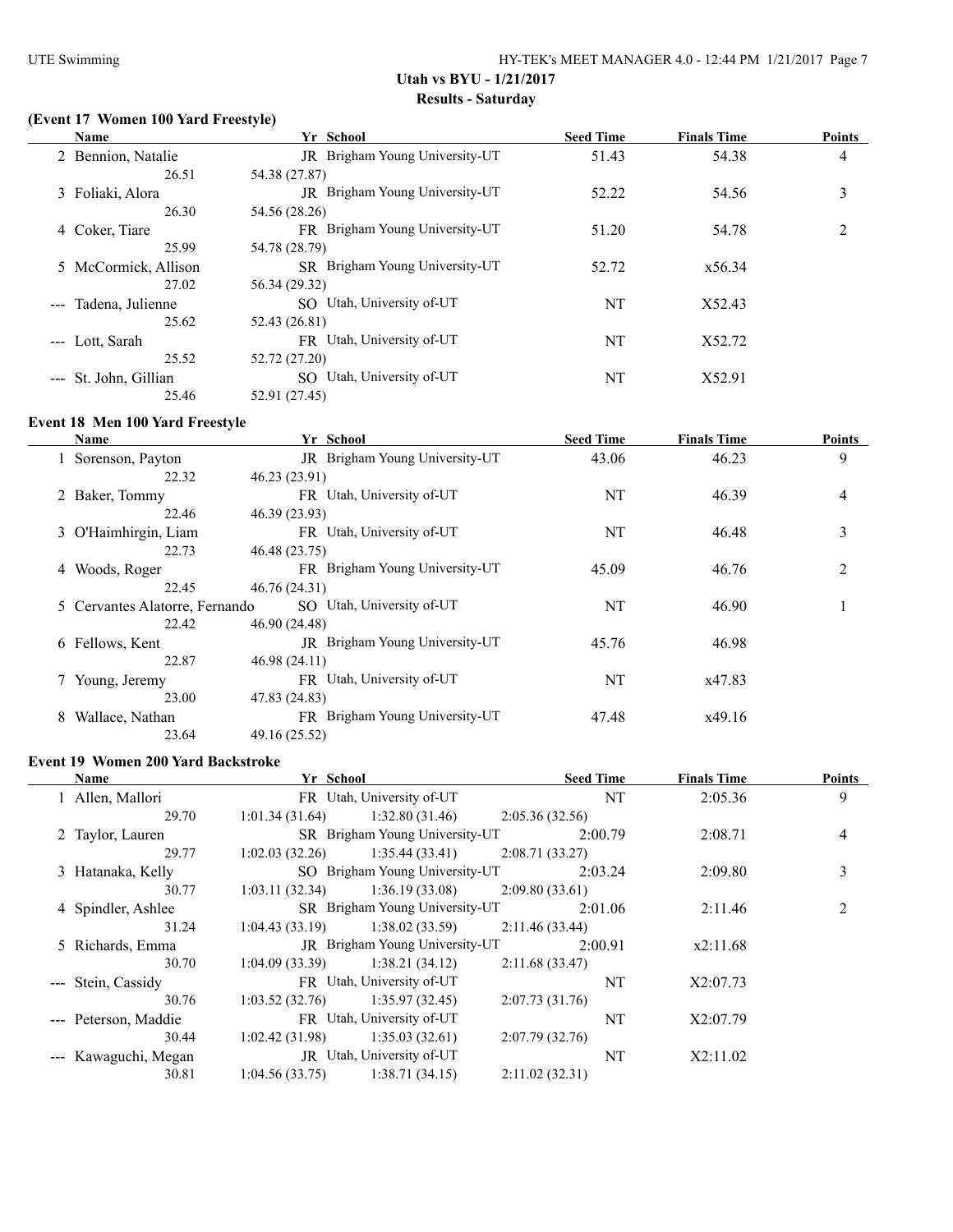# **(Event 17 Women 100 Yard Freestyle)**

| Name                  | Yr School                      | <b>Seed Time</b> | <b>Finals Time</b> | <b>Points</b>  |
|-----------------------|--------------------------------|------------------|--------------------|----------------|
| 2 Bennion, Natalie    | JR Brigham Young University-UT | 51.43            | 54.38              | $\overline{4}$ |
| 26.51                 | 54.38 (27.87)                  |                  |                    |                |
| 3 Foliaki, Alora      | JR Brigham Young University-UT | 52.22            | 54.56              | 3              |
| 26.30                 | 54.56 (28.26)                  |                  |                    |                |
| 4 Coker, Tiare        | FR Brigham Young University-UT | 51.20            | 54.78              | 2              |
| 25.99                 | 54.78 (28.79)                  |                  |                    |                |
| 5 McCormick, Allison  | SR Brigham Young University-UT | 52.72            | x56.34             |                |
| 27.02                 | 56.34 (29.32)                  |                  |                    |                |
| --- Tadena, Julienne  | SO Utah, University of-UT      | NT               | X52.43             |                |
| 25.62                 | 52.43 (26.81)                  |                  |                    |                |
| --- Lott, Sarah       | FR Utah, University of-UT      | NT               | X52.72             |                |
| 25.52                 | 52.72 (27.20)                  |                  |                    |                |
| --- St. John, Gillian | SO Utah, University of-UT      | NT               | X52.91             |                |
| 25.46                 | 52.91 (27.45)                  |                  |                    |                |

#### **Event 18 Men 100 Yard Freestyle**

|   | <b>Name</b>                    | Yr School                      | <b>Seed Time</b> | <b>Finals Time</b> | <b>Points</b>  |
|---|--------------------------------|--------------------------------|------------------|--------------------|----------------|
|   | 1 Sorenson, Payton             | JR Brigham Young University-UT | 43.06            | 46.23              | 9              |
|   | 22.32                          | 46.23 (23.91)                  |                  |                    |                |
|   | 2 Baker, Tommy                 | FR Utah, University of-UT      | NT               | 46.39              | 4              |
|   | 22.46                          | 46.39 (23.93)                  |                  |                    |                |
|   | 3 O'Haimhirgin, Liam           | FR Utah, University of-UT      | NT               | 46.48              | 3              |
|   | 22.73                          | 46.48 (23.75)                  |                  |                    |                |
|   | 4 Woods, Roger                 | FR Brigham Young University-UT | 45.09            | 46.76              | $\overline{2}$ |
|   | 22.45                          | 46.76 (24.31)                  |                  |                    |                |
|   | 5 Cervantes Alatorre, Fernando | SO Utah, University of-UT      | NT               | 46.90              |                |
|   | 22.42                          | 46.90 (24.48)                  |                  |                    |                |
|   | 6 Fellows, Kent                | JR Brigham Young University-UT | 45.76            | 46.98              |                |
|   | 22.87                          | 46.98 (24.11)                  |                  |                    |                |
|   | Young, Jeremy                  | FR Utah, University of-UT      | NT               | x47.83             |                |
|   | 23.00                          | 47.83 (24.83)                  |                  |                    |                |
| 8 | Wallace, Nathan                | FR Brigham Young University-UT | 47.48            | x49.16             |                |
|   | 23.64                          | 49.16 (25.52)                  |                  |                    |                |

#### **Event 19 Women 200 Yard Backstroke**

| <b>Name</b>          | Yr School      |                                       |                | <b>Seed Time</b> | <b>Finals Time</b> | <b>Points</b>  |
|----------------------|----------------|---------------------------------------|----------------|------------------|--------------------|----------------|
| 1 Allen, Mallori     |                | FR Utah, University of-UT             |                | NT               | 2:05.36            | 9              |
| 29.70                | 1:01.34(31.64) | 1:32.80(31.46)                        | 2:05.36(32.56) |                  |                    |                |
| 2 Taylor, Lauren     |                | SR Brigham Young University-UT        |                | 2:00.79          | 2:08.71            | 4              |
| 29.77                | 1:02.03(32.26) | 1:35.44(33.41)                        | 2:08.71(33.27) |                  |                    |                |
| 3 Hatanaka, Kelly    |                | SO Brigham Young University-UT        |                | 2:03.24          | 2:09.80            | 3              |
| 30.77                | 1:03.11(32.34) | 1:36.19(33.08)                        | 2:09.80(33.61) |                  |                    |                |
| 4 Spindler, Ashlee   |                | SR Brigham Young University-UT        |                | 2:01.06          | 2:11.46            | $\mathfrak{D}$ |
| 31.24                | 1:04.43(33.19) | 1:38.02(33.59)                        | 2:11.46(33.44) |                  |                    |                |
| 5 Richards, Emma     |                | <b>JR</b> Brigham Young University-UT |                | 2:00.91          | x2:11.68           |                |
| 30.70                | 1:04.09(33.39) | 1:38.21(34.12)                        | 2:11.68(33.47) |                  |                    |                |
| --- Stein, Cassidy   |                | FR Utah, University of-UT             |                | NT               | X2:07.73           |                |
| 30.76                | 1:03.52(32.76) | 1:35.97(32.45)                        | 2:07.73(31.76) |                  |                    |                |
| --- Peterson, Maddie |                | FR Utah, University of-UT             |                | NT               | X2:07.79           |                |
| 30.44                | 1:02.42(31.98) | 1:35.03(32.61)                        | 2:07.79(32.76) |                  |                    |                |
| --- Kawaguchi, Megan |                | JR Utah, University of-UT             |                | NT               | X2:11.02           |                |
| 30.81                | 1:04.56(33.75) | 1:38.71(34.15)                        | 2:11.02(32.31) |                  |                    |                |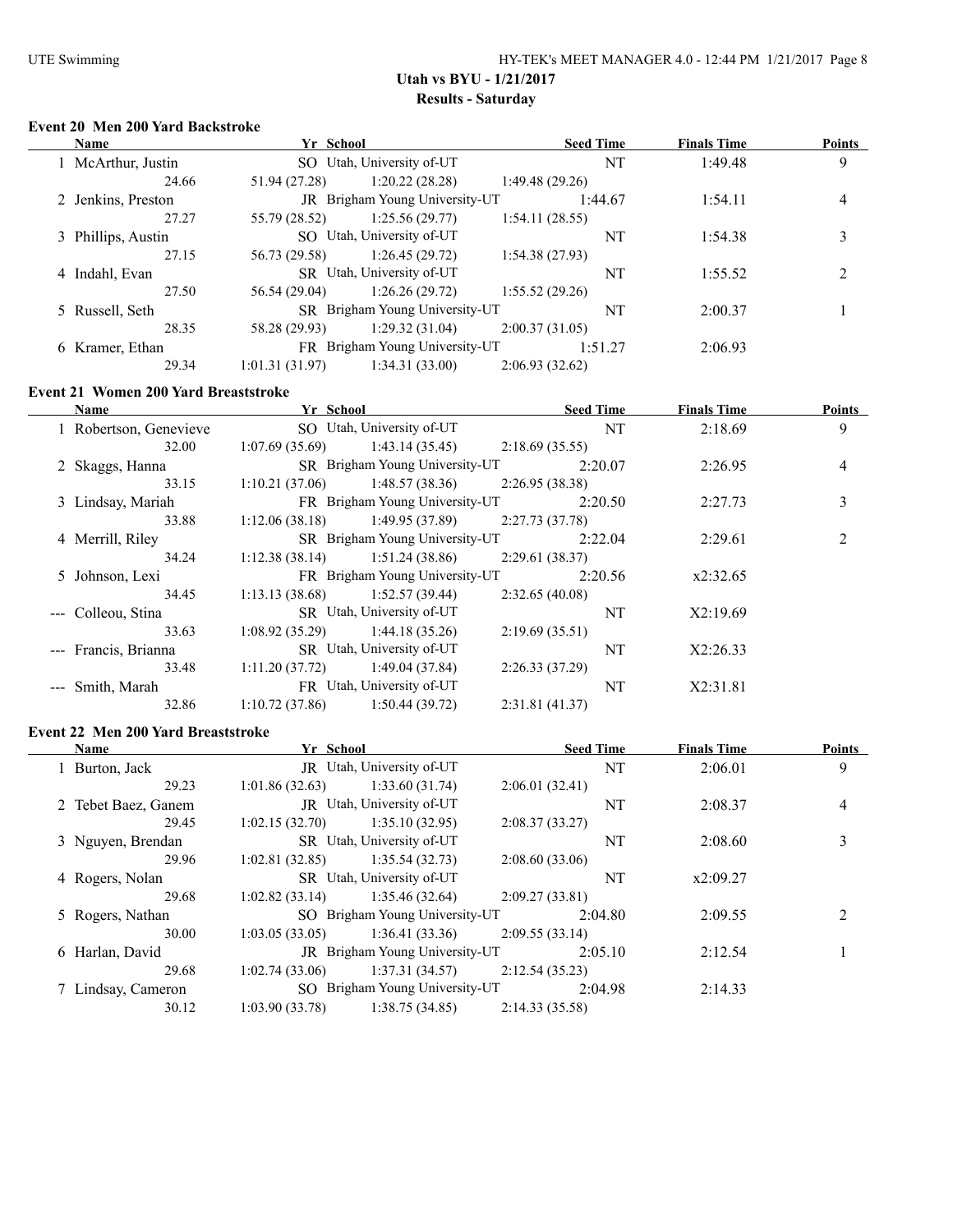# **Event 20 Men 200 Yard Backstroke**

| <b>Name</b>        | Yr School      |                                       |                | <b>Seed Time</b> | <b>Finals Time</b> | <b>Points</b>            |
|--------------------|----------------|---------------------------------------|----------------|------------------|--------------------|--------------------------|
| 1 McArthur, Justin |                | SO Utah, University of-UT             |                | NT               | 1:49.48            | 9                        |
| 24.66              | 51.94 (27.28)  | 1:20.22(28.28)                        | 1:49.48(29.26) |                  |                    |                          |
| 2 Jenkins, Preston |                | <b>JR</b> Brigham Young University-UT |                | 1:44.67          | 1:54.11            | 4                        |
| 27.27              | 55.79 (28.52)  | 1:25.56(29.77)                        | 1:54.11(28.55) |                  |                    |                          |
| 3 Phillips, Austin |                | SO Utah, University of-UT             |                | NT               | 1:54.38            | 3                        |
| 27.15              | 56.73 (29.58)  | 1:26.45(29.72)                        | 1:54.38(27.93) |                  |                    |                          |
| 4 Indahl, Evan     |                | SR Utah, University of-UT             |                | NT               | 1:55.52            | $\overline{\mathcal{L}}$ |
| 27.50              | 56.54 (29.04)  | 1:26.26(29.72)                        | 1:55.52(29.26) |                  |                    |                          |
| 5 Russell, Seth    |                | SR Brigham Young University-UT        |                | NT               | 2:00.37            |                          |
| 28.35              | 58.28 (29.93)  | 1:29.32(31.04)                        | 2:00.37(31.05) |                  |                    |                          |
| 6 Kramer, Ethan    |                | FR Brigham Young University-UT        |                | 1:51.27          | 2:06.93            |                          |
| 29.34              | 1:01.31(31.97) | 1:34.31(33.00)                        | 2:06.93(32.62) |                  |                    |                          |

#### **Event 21 Women 200 Yard Breaststroke**

| <b>Name</b>            | Yr School      |                                | <b>Seed Time</b> |         | <b>Finals Time</b> | Points         |
|------------------------|----------------|--------------------------------|------------------|---------|--------------------|----------------|
| 1 Robertson, Genevieve |                | SO Utah, University of-UT      |                  | NT      | 2:18.69            | 9              |
| 32.00                  | 1:07.69(35.69) | 1:43.14 (35.45)                | 2:18.69(35.55)   |         |                    |                |
| 2 Skaggs, Hanna        |                | SR Brigham Young University-UT |                  | 2:20.07 | 2:26.95            | $\overline{4}$ |
| 33.15                  | 1:10.21(37.06) | 1:48.57(38.36)                 | 2:26.95(38.38)   |         |                    |                |
| 3 Lindsay, Mariah      |                | FR Brigham Young University-UT |                  | 2:20.50 | 2:27.73            | 3              |
| 33.88                  | 1:12.06(38.18) | 1:49.95 (37.89)                | 2:27.73(37.78)   |         |                    |                |
| 4 Merrill, Riley       |                | SR Brigham Young University-UT |                  | 2:22.04 | 2:29.61            | $\overline{2}$ |
| 34.24                  | 1:12.38(38.14) | 1:51.24(38.86)                 | 2:29.61(38.37)   |         |                    |                |
| 5 Johnson, Lexi        |                | FR Brigham Young University-UT |                  | 2:20.56 | x2:32.65           |                |
| 34.45                  | 1:13.13(38.68) | 1:52.57(39.44)                 | 2:32.65(40.08)   |         |                    |                |
| --- Colleou, Stina     |                | SR Utah, University of-UT      |                  | NT      | X2:19.69           |                |
| 33.63                  | 1:08.92(35.29) | 1:44.18(35.26)                 | 2:19.69(35.51)   |         |                    |                |
| --- Francis, Brianna   |                | SR Utah, University of-UT      |                  | NT      | X2:26.33           |                |
| 33.48                  | 1:11.20(37.72) | 1:49.04(37.84)                 | 2:26.33(37.29)   |         |                    |                |
| --- Smith, Marah       |                | FR Utah, University of-UT      |                  | NT      | X2:31.81           |                |
| 32.86                  | 1:10.72(37.86) | 1:50.44(39.72)                 | 2:31.81(41.37)   |         |                    |                |

#### **Event 22 Men 200 Yard Breaststroke**

| Name                | Yr School      |                                | <b>Seed Time</b> | <b>Finals Time</b> | <b>Points</b>  |
|---------------------|----------------|--------------------------------|------------------|--------------------|----------------|
| 1 Burton, Jack      |                | JR Utah, University of-UT      | NT               | 2:06.01            | 9              |
| 29.23               | 1:01.86(32.63) | 1:33.60(31.74)                 | 2:06.01(32.41)   |                    |                |
| 2 Tebet Baez, Ganem |                | JR Utah, University of-UT      | NT               | 2:08.37            | $\overline{4}$ |
| 29.45               | 1:02.15(32.70) | 1:35.10(32.95)                 | 2:08.37(33.27)   |                    |                |
| 3 Nguyen, Brendan   |                | SR Utah, University of-UT      | NT               | 2:08.60            | 3              |
| 29.96               | 1:02.81(32.85) | 1:35.54(32.73)                 | 2:08.60(33.06)   |                    |                |
| 4 Rogers, Nolan     |                | SR Utah, University of-UT      | NT               | x2:09.27           |                |
| 29.68               | 1:02.82(33.14) | 1:35.46(32.64)                 | 2:09.27(33.81)   |                    |                |
| 5 Rogers, Nathan    |                | SO Brigham Young University-UT | 2:04.80          | 2:09.55            | 2              |
| 30.00               | 1:03.05(33.05) | 1:36.41(33.36)                 | 2:09.55(33.14)   |                    |                |
| 6 Harlan, David     |                | JR Brigham Young University-UT | 2:05.10          | 2:12.54            |                |
| 29.68               | 1:02.74(33.06) | 1:37.31(34.57)                 | 2:12.54(35.23)   |                    |                |
| 7 Lindsay, Cameron  |                | SO Brigham Young University-UT | 2:04.98          | 2:14.33            |                |
| 30.12               | 1:03.90(33.78) | 1:38.75(34.85)                 | 2:14.33(35.58)   |                    |                |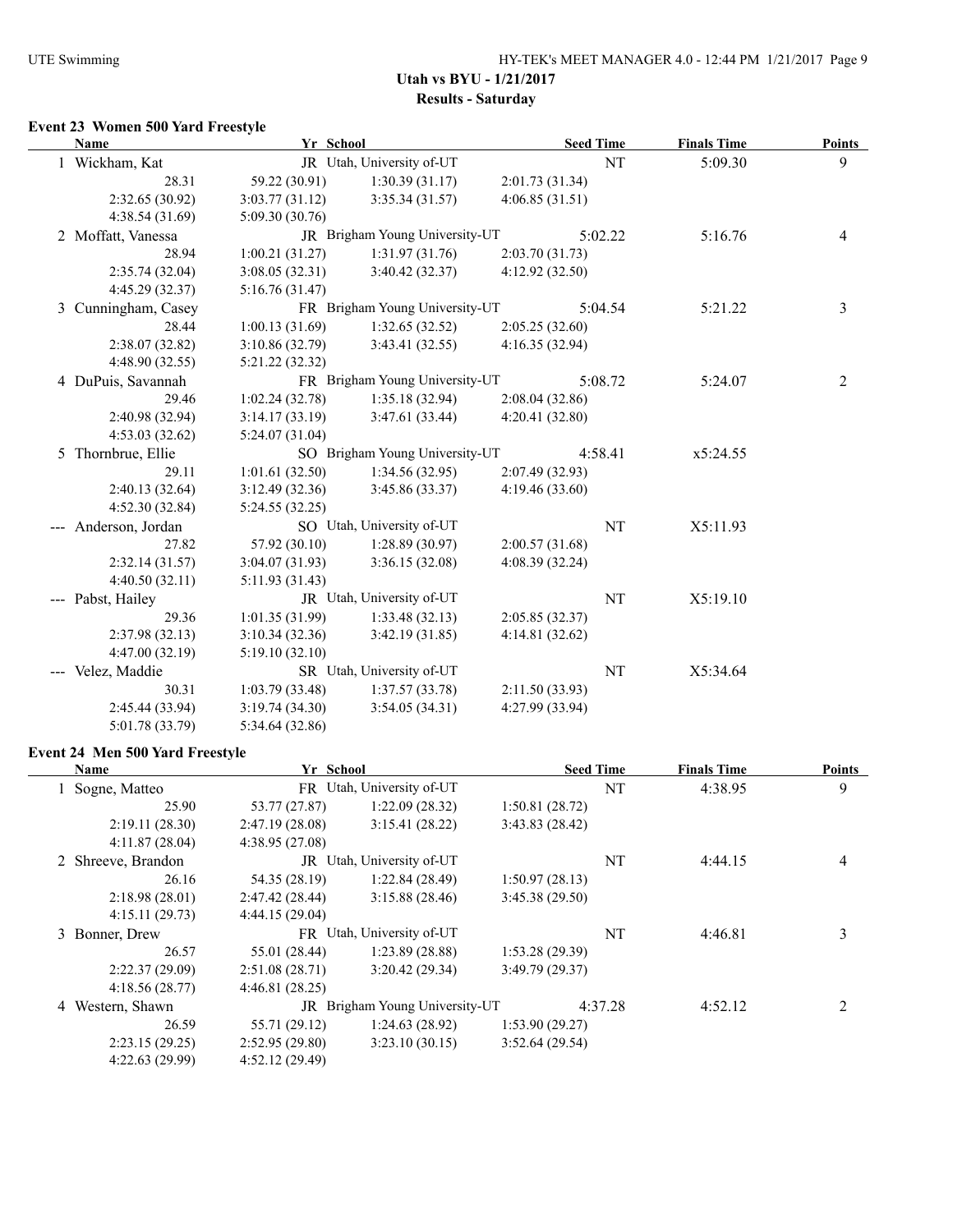#### **Event 23 Women 500 Yard Freestyle**

| <b>Name</b>          | Yr School       |                                |                 | <b>Seed Time</b> | <b>Finals Time</b> | <b>Points</b> |
|----------------------|-----------------|--------------------------------|-----------------|------------------|--------------------|---------------|
| 1 Wickham, Kat       |                 | JR Utah, University of-UT      |                 | NT               | 5:09.30            | 9             |
| 28.31                | 59.22 (30.91)   | 1:30.39(31.17)                 | 2:01.73 (31.34) |                  |                    |               |
| 2:32.65(30.92)       | 3:03.77(31.12)  | 3:35.34(31.57)                 | 4:06.85(31.51)  |                  |                    |               |
| 4:38.54 (31.69)      | 5:09.30(30.76)  |                                |                 |                  |                    |               |
| 2 Moffatt, Vanessa   |                 | JR Brigham Young University-UT |                 | 5:02.22          | 5:16.76            | 4             |
| 28.94                | 1:00.21(31.27)  | 1:31.97(31.76)                 | 2:03.70(31.73)  |                  |                    |               |
| 2:35.74 (32.04)      | 3:08.05(32.31)  | 3:40.42(32.37)                 | 4:12.92(32.50)  |                  |                    |               |
| 4:45.29 (32.37)      | 5:16.76(31.47)  |                                |                 |                  |                    |               |
| 3 Cunningham, Casey  |                 | FR Brigham Young University-UT |                 | 5:04.54          | 5:21.22            | 3             |
| 28.44                | 1:00.13(31.69)  | 1:32.65(32.52)                 | 2:05.25(32.60)  |                  |                    |               |
| 2:38.07 (32.82)      | 3:10.86(32.79)  | 3:43.41(32.55)                 | 4:16.35(32.94)  |                  |                    |               |
| 4:48.90 (32.55)      | 5:21.22 (32.32) |                                |                 |                  |                    |               |
| 4 DuPuis, Savannah   |                 | FR Brigham Young University-UT |                 | 5:08.72          | 5:24.07            | 2             |
| 29.46                | 1:02.24(32.78)  | 1:35.18(32.94)                 | 2:08.04(32.86)  |                  |                    |               |
| 2:40.98 (32.94)      | 3:14.17(33.19)  | 3:47.61(33.44)                 | 4:20.41(32.80)  |                  |                    |               |
| 4:53.03(32.62)       | 5:24.07(31.04)  |                                |                 |                  |                    |               |
| 5 Thornbrue, Ellie   |                 | SO Brigham Young University-UT |                 | 4:58.41          | x5:24.55           |               |
| 29.11                | 1:01.61(32.50)  | 1:34.56(32.95)                 | 2:07.49(32.93)  |                  |                    |               |
| 2:40.13 (32.64)      | 3:12.49(32.36)  | 3:45.86(33.37)                 | 4:19.46 (33.60) |                  |                    |               |
| 4:52.30 (32.84)      | 5:24.55(32.25)  |                                |                 |                  |                    |               |
| --- Anderson, Jordan |                 | SO Utah, University of-UT      |                 | NT               | X5:11.93           |               |
| 27.82                | 57.92 (30.10)   | 1:28.89(30.97)                 | 2:00.57(31.68)  |                  |                    |               |
| 2:32.14(31.57)       | 3:04.07(31.93)  | 3:36.15(32.08)                 | 4:08.39(32.24)  |                  |                    |               |
| 4:40.50(32.11)       | 5:11.93 (31.43) |                                |                 |                  |                    |               |
| --- Pabst, Hailey    |                 | JR Utah, University of-UT      |                 | NT               | X5:19.10           |               |
| 29.36                | 1:01.35(31.99)  | 1:33.48(32.13)                 | 2:05.85(32.37)  |                  |                    |               |
| 2:37.98(32.13)       | 3:10.34(32.36)  | 3:42.19(31.85)                 | 4:14.81(32.62)  |                  |                    |               |
| 4:47.00(32.19)       | 5:19.10(32.10)  |                                |                 |                  |                    |               |
| --- Velez, Maddie    |                 | SR Utah, University of-UT      |                 | NT               | X5:34.64           |               |
| 30.31                | 1:03.79(33.48)  | 1:37.57(33.78)                 | 2:11.50(33.93)  |                  |                    |               |
| 2:45.44 (33.94)      | 3:19.74(34.30)  | 3:54.05(34.31)                 | 4:27.99 (33.94) |                  |                    |               |
| 5:01.78 (33.79)      | 5:34.64 (32.86) |                                |                 |                  |                    |               |

# **Event 24 Men 500 Yard Freestyle**

| <b>Name</b>        | Yr School      |                                | <b>Seed Time</b> |         | <b>Finals Time</b> | <b>Points</b>            |
|--------------------|----------------|--------------------------------|------------------|---------|--------------------|--------------------------|
| Sogne, Matteo      | FR.            | Utah, University of-UT         |                  | NT      | 4:38.95            | 9                        |
| 25.90              | 53.77 (27.87)  | 1:22.09(28.32)                 | 1:50.81(28.72)   |         |                    |                          |
| 2:19.11(28.30)     | 2:47.19(28.08) | 3:15.41(28.22)                 | 3:43.83(28.42)   |         |                    |                          |
| 4:11.87(28.04)     | 4:38.95(27.08) |                                |                  |         |                    |                          |
| 2 Shreeve, Brandon | JR             | Utah, University of-UT         |                  | NT      | 4:44.15            | $\overline{4}$           |
| 26.16              | 54.35 (28.19)  | 1:22.84(28.49)                 | 1:50.97(28.13)   |         |                    |                          |
| 2:18.98(28.01)     | 2:47.42(28.44) | 3:15.88(28.46)                 | 3:45.38(29.50)   |         |                    |                          |
| 4:15.11(29.73)     | 4:44.15(29.04) |                                |                  |         |                    |                          |
| 3 Bonner, Drew     |                | FR Utah, University of-UT      |                  | NT      | 4:46.81            | 3                        |
| 26.57              | 55.01 (28.44)  | 1:23.89(28.88)                 | 1:53.28(29.39)   |         |                    |                          |
| 2:22.37(29.09)     | 2:51.08(28.71) | 3:20.42(29.34)                 | 3:49.79(29.37)   |         |                    |                          |
| 4:18.56(28.77)     | 4:46.81(28.25) |                                |                  |         |                    |                          |
| 4 Western, Shawn   |                | JR Brigham Young University-UT |                  | 4:37.28 | 4:52.12            | $\overline{\mathcal{L}}$ |
| 26.59              | 55.71 (29.12)  | 1:24.63(28.92)                 | 1:53.90(29.27)   |         |                    |                          |
| 2:23.15(29.25)     | 2:52.95(29.80) | 3:23.10(30.15)                 | 3:52.64(29.54)   |         |                    |                          |
| 4:22.63(29.99)     | 4:52.12(29.49) |                                |                  |         |                    |                          |
|                    |                |                                |                  |         |                    |                          |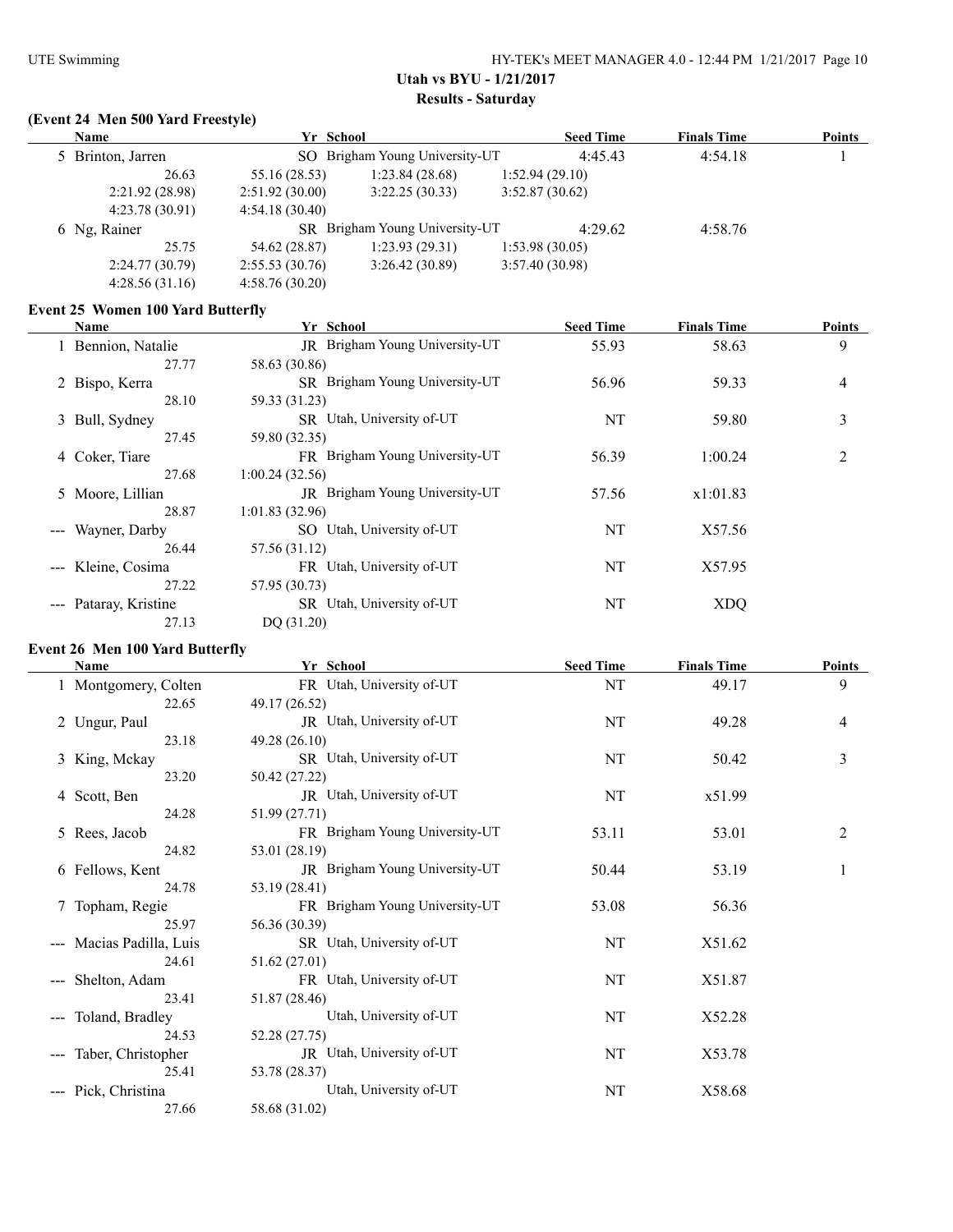# **(Event 24 Men 500 Yard Freestyle)**

| <b>Name</b>       | Yr School      |                                |                | <b>Seed Time</b> | <b>Finals Time</b> | <b>Points</b> |
|-------------------|----------------|--------------------------------|----------------|------------------|--------------------|---------------|
| 5 Brinton, Jarren |                | SO Brigham Young University-UT |                | 4:45.43          | 4:54.18            |               |
| 26.63             | 55.16 (28.53)  | 1:23.84(28.68)                 | 1:52.94(29.10) |                  |                    |               |
| 2:21.92(28.98)    | 2:51.92(30.00) | 3:22.25(30.33)                 | 3:52.87(30.62) |                  |                    |               |
| 4:23.78(30.91)    | 4:54.18(30.40) |                                |                |                  |                    |               |
| 6 Ng, Rainer      |                | SR Brigham Young University-UT |                | 4:29.62          | 4:58.76            |               |
| 25.75             | 54.62 (28.87)  | 1:23.93(29.31)                 | 1:53.98(30.05) |                  |                    |               |
| 2:24.77(30.79)    | 2:55.53(30.76) | 3:26.42(30.89)                 | 3:57.40(30.98) |                  |                    |               |
| 4:28.56(31.16)    | 4:58.76(30.20) |                                |                |                  |                    |               |

#### **Event 25 Women 100 Yard Butterfly**

| Name                                      | Yr School                      | <b>Seed Time</b> | <b>Finals Time</b> | <b>Points</b> |
|-------------------------------------------|--------------------------------|------------------|--------------------|---------------|
| 1 Bennion, Natalie                        | JR Brigham Young University-UT | 55.93            | 58.63              | 9             |
| 27.77                                     | 58.63 (30.86)                  |                  |                    |               |
| 2 Bispo, Kerra                            | SR Brigham Young University-UT | 56.96            | 59.33              | 4             |
| 28.10                                     | 59.33 (31.23)                  |                  |                    |               |
| 3 Bull, Sydney                            | SR Utah, University of-UT      | NT               | 59.80              | 3             |
| 27.45                                     | 59.80 (32.35)                  |                  |                    |               |
| 4 Coker, Tiare                            | FR Brigham Young University-UT | 56.39            | 1:00.24            | 2             |
| 27.68                                     | 1:00.24(32.56)                 |                  |                    |               |
| 5 Moore, Lillian                          | JR Brigham Young University-UT | 57.56            | x1:01.83           |               |
| 28.87                                     | 1:01.83(32.96)                 |                  |                    |               |
| --- Wayner, Darby                         | SO Utah, University of-UT      | NT               | X57.56             |               |
| 26.44                                     | 57.56 (31.12)                  |                  |                    |               |
| --- Kleine, Cosima                        | FR Utah, University of-UT      | NT               | X57.95             |               |
| 27.22                                     | 57.95 (30.73)                  |                  |                    |               |
| Pataray, Kristine<br>$\sim$ $\sim$ $\sim$ | SR Utah, University of-UT      | NT               | <b>XDQ</b>         |               |
| 27.13                                     | DQ (31.20)                     |                  |                    |               |

#### **Event 26 Men 100 Yard Butterfly**

| Name                                                                                                                                                                                                                                                                                                                                                                                                                                                                                          | Yr School                      | <b>Seed Time</b> | <b>Finals Time</b> | <b>Points</b>            |
|-----------------------------------------------------------------------------------------------------------------------------------------------------------------------------------------------------------------------------------------------------------------------------------------------------------------------------------------------------------------------------------------------------------------------------------------------------------------------------------------------|--------------------------------|------------------|--------------------|--------------------------|
| 1 Montgomery, Colten                                                                                                                                                                                                                                                                                                                                                                                                                                                                          | FR Utah, University of-UT      | NT               | 49.17              | 9                        |
| 22.65                                                                                                                                                                                                                                                                                                                                                                                                                                                                                         | 49.17 (26.52)                  |                  |                    |                          |
| 2 Ungur, Paul                                                                                                                                                                                                                                                                                                                                                                                                                                                                                 | JR Utah, University of-UT      | NT               | 49.28              | $\overline{\mathcal{A}}$ |
| 23.18                                                                                                                                                                                                                                                                                                                                                                                                                                                                                         | 49.28 (26.10)                  |                  |                    |                          |
| 3 King, Mckay                                                                                                                                                                                                                                                                                                                                                                                                                                                                                 | SR Utah, University of-UT      | NT               | 50.42              | $\mathfrak{Z}$           |
| 23.20                                                                                                                                                                                                                                                                                                                                                                                                                                                                                         | 50.42 (27.22)                  |                  |                    |                          |
| 4 Scott, Ben                                                                                                                                                                                                                                                                                                                                                                                                                                                                                  | JR Utah, University of-UT      | NT               | x51.99             |                          |
| 24.28                                                                                                                                                                                                                                                                                                                                                                                                                                                                                         | 51.99 (27.71)                  |                  |                    |                          |
| 5 Rees, Jacob                                                                                                                                                                                                                                                                                                                                                                                                                                                                                 | FR Brigham Young University-UT | 53.11            | 53.01              | 2                        |
| 24.82                                                                                                                                                                                                                                                                                                                                                                                                                                                                                         | 53.01 (28.19)                  |                  |                    |                          |
| 6 Fellows, Kent                                                                                                                                                                                                                                                                                                                                                                                                                                                                               | JR Brigham Young University-UT | 50.44            | 53.19              |                          |
| 24.78                                                                                                                                                                                                                                                                                                                                                                                                                                                                                         | 53.19 (28.41)                  |                  |                    |                          |
| 7 Topham, Regie                                                                                                                                                                                                                                                                                                                                                                                                                                                                               | FR Brigham Young University-UT | 53.08            | 56.36              |                          |
| 25.97                                                                                                                                                                                                                                                                                                                                                                                                                                                                                         | 56.36 (30.39)                  |                  |                    |                          |
| --- Macias Padilla, Luis                                                                                                                                                                                                                                                                                                                                                                                                                                                                      | SR Utah, University of-UT      | NT               | X51.62             |                          |
| 24.61                                                                                                                                                                                                                                                                                                                                                                                                                                                                                         | 51.62 (27.01)                  |                  |                    |                          |
| --- Shelton, Adam                                                                                                                                                                                                                                                                                                                                                                                                                                                                             | FR Utah, University of-UT      | NT               | X51.87             |                          |
| 23.41                                                                                                                                                                                                                                                                                                                                                                                                                                                                                         | 51.87 (28.46)                  |                  |                    |                          |
| Toland, Bradley<br>$\frac{1}{2} \left( \frac{1}{2} \right) \left( \frac{1}{2} \right) \left( \frac{1}{2} \right) \left( \frac{1}{2} \right) \left( \frac{1}{2} \right) \left( \frac{1}{2} \right) \left( \frac{1}{2} \right) \left( \frac{1}{2} \right) \left( \frac{1}{2} \right) \left( \frac{1}{2} \right) \left( \frac{1}{2} \right) \left( \frac{1}{2} \right) \left( \frac{1}{2} \right) \left( \frac{1}{2} \right) \left( \frac{1}{2} \right) \left( \frac{1}{2} \right) \left( \frac$ | Utah, University of-UT         | NT               | X52.28             |                          |
| 24.53                                                                                                                                                                                                                                                                                                                                                                                                                                                                                         | 52.28 (27.75)                  |                  |                    |                          |
| --- Taber, Christopher                                                                                                                                                                                                                                                                                                                                                                                                                                                                        | JR Utah, University of-UT      | NT               | X53.78             |                          |
| 25.41                                                                                                                                                                                                                                                                                                                                                                                                                                                                                         | 53.78 (28.37)                  |                  |                    |                          |
| --- Pick, Christina                                                                                                                                                                                                                                                                                                                                                                                                                                                                           | Utah, University of-UT         | NT               | X58.68             |                          |
| 27.66                                                                                                                                                                                                                                                                                                                                                                                                                                                                                         | 58.68 (31.02)                  |                  |                    |                          |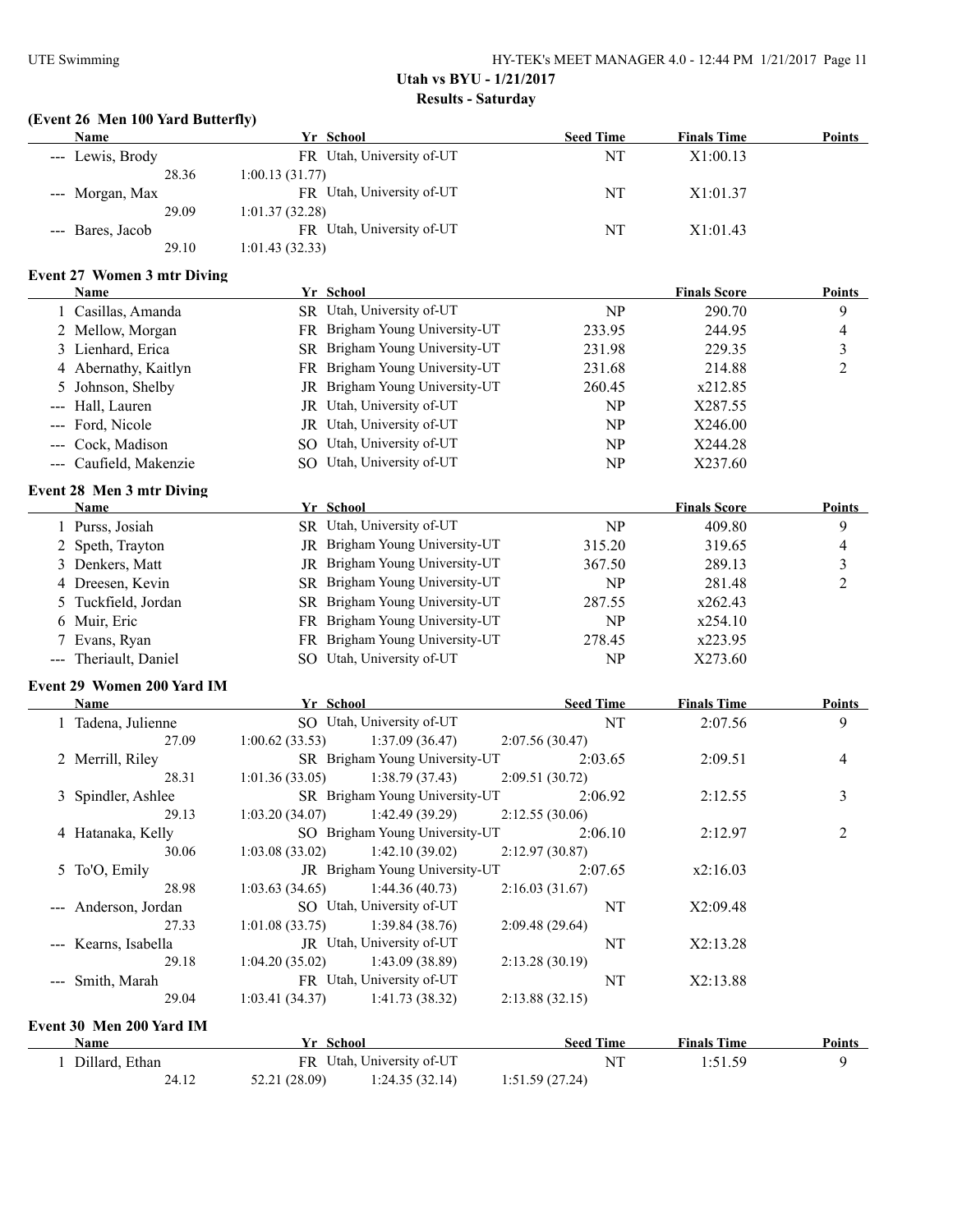# **(Event 26 Men 100 Yard Butterfly)**

| <b>Name</b>                                       | Yr School      |                                | <b>Seed Time</b> | <b>Finals Time</b>  | <b>Points</b>  |
|---------------------------------------------------|----------------|--------------------------------|------------------|---------------------|----------------|
| --- Lewis, Brody                                  |                | FR Utah, University of-UT      | NT               | X1:00.13            |                |
| 28.36                                             | 1:00.13(31.77) |                                |                  |                     |                |
| --- Morgan, Max<br>29.09                          | 1:01.37(32.28) | FR Utah, University of-UT      | NT               | X1:01.37            |                |
| --- Bares, Jacob                                  |                | FR Utah, University of-UT      | NT               | X1:01.43            |                |
| 29.10                                             | 1:01.43(32.33) |                                |                  |                     |                |
|                                                   |                |                                |                  |                     |                |
| <b>Event 27 Women 3 mtr Diving</b><br><u>Name</u> | Yr School      |                                |                  | <b>Finals Score</b> | <b>Points</b>  |
| 1 Casillas, Amanda                                |                | SR Utah, University of-UT      | NP               | 290.70              | 9              |
| 2 Mellow, Morgan                                  |                | FR Brigham Young University-UT | 233.95           | 244.95              | 4              |
| 3 Lienhard, Erica                                 |                | SR Brigham Young University-UT | 231.98           | 229.35              | 3              |
| 4 Abernathy, Kaitlyn                              |                | FR Brigham Young University-UT | 231.68           | 214.88              | $\overline{2}$ |
|                                                   |                | JR Brigham Young University-UT | 260.45           | x212.85             |                |
| Johnson, Shelby<br>5                              |                | JR Utah, University of-UT      |                  |                     |                |
| Hall, Lauren                                      |                |                                | NP               | X287.55             |                |
| Ford, Nicole                                      |                | JR Utah, University of-UT      | NP               | X246.00             |                |
| Cock, Madison                                     |                | SO Utah, University of-UT      | <b>NP</b>        | X244.28             |                |
| --- Caufield, Makenzie                            |                | SO Utah, University of-UT      | <b>NP</b>        | X237.60             |                |
| <b>Event 28 Men 3 mtr Diving</b><br>Name          | Yr School      |                                |                  | <b>Finals Score</b> | <b>Points</b>  |
| 1 Purss, Josiah                                   |                | SR Utah, University of-UT      | NP               | 409.80              | 9              |
| 2 Speth, Trayton                                  |                | JR Brigham Young University-UT | 315.20           | 319.65              | 4              |
| 3 Denkers, Matt                                   |                | JR Brigham Young University-UT | 367.50           | 289.13              | 3              |
| 4 Dreesen, Kevin                                  |                | SR Brigham Young University-UT |                  |                     |                |
|                                                   |                |                                | <b>NP</b>        | 281.48              | 2              |
| 5 Tuckfield, Jordan                               |                | SR Brigham Young University-UT | 287.55           | x262.43             |                |
| 6 Muir, Eric                                      |                | FR Brigham Young University-UT | <b>NP</b>        | x254.10             |                |
| 7 Evans, Ryan                                     |                | FR Brigham Young University-UT | 278.45           | x223.95             |                |
| --- Theriault, Daniel                             |                | SO Utah, University of-UT      | NP               | X273.60             |                |
| Event 29 Women 200 Yard IM                        |                |                                |                  |                     |                |
| Name                                              | Yr School      |                                | <b>Seed Time</b> | <b>Finals Time</b>  | <b>Points</b>  |
| 1 Tadena, Julienne                                |                | SO Utah, University of-UT      | NT               | 2:07.56             | 9              |
| 27.09                                             | 1:00.62(33.53) | 1:37.09(36.47)                 | 2:07.56(30.47)   |                     |                |
| 2 Merrill, Riley                                  |                | SR Brigham Young University-UT | 2:03.65          | 2:09.51             | 4              |
| 28.31                                             | 1:01.36(33.05) | 1:38.79(37.43)                 | 2:09.51 (30.72)  |                     |                |
| 3 Spindler, Ashlee                                |                | SR Brigham Young University-UT | 2:06.92          | 2:12.55             | 3              |
| 29.13                                             | 1:03.20(34.07) | 1:42.49(39.29)                 | 2:12.55(30.06)   |                     |                |
| 4 Hatanaka, Kelly                                 |                | SO Brigham Young University-UT | 2:06.10          | 2:12.97             | 2              |
| 30.06                                             | 1:03.08(33.02) | 1:42.10(39.02)                 | 2:12.97(30.87)   |                     |                |
| 5 To'O, Emily                                     |                | JR Brigham Young University-UT | 2:07.65          | x2:16.03            |                |
| 28.98                                             | 1:03.63(34.65) | 1:44.36(40.73)                 | 2:16.03(31.67)   |                     |                |
| --- Anderson, Jordan                              |                | SO Utah, University of-UT      | NT               | X2:09.48            |                |
| 27.33                                             | 1:01.08(33.75) | 1:39.84 (38.76)                | 2:09.48(29.64)   |                     |                |
| --- Kearns, Isabella                              |                | JR Utah, University of-UT      | NT               | X2:13.28            |                |
| 29.18                                             | 1:04.20(35.02) | 1:43.09(38.89)                 | 2:13.28(30.19)   |                     |                |
| --- Smith, Marah                                  |                | FR Utah, University of-UT      | <b>NT</b>        | X2:13.88            |                |
| 29.04                                             | 1:03.41(34.37) | 1:41.73 (38.32)                | 2:13.88(32.15)   |                     |                |
| Event 30 Men 200 Yard IM                          |                |                                |                  |                     |                |
| <b>Name</b>                                       | Yr School      |                                | <b>Seed Time</b> | <b>Finals Time</b>  | <b>Points</b>  |
| 1 Dillard, Ethan                                  |                | FR Utah, University of-UT      | $\rm{NT}$        | 1:51.59             | 9              |
| 24.12                                             | 52.21 (28.09)  | 1:24.35(32.14)                 | 1:51.59(27.24)   |                     |                |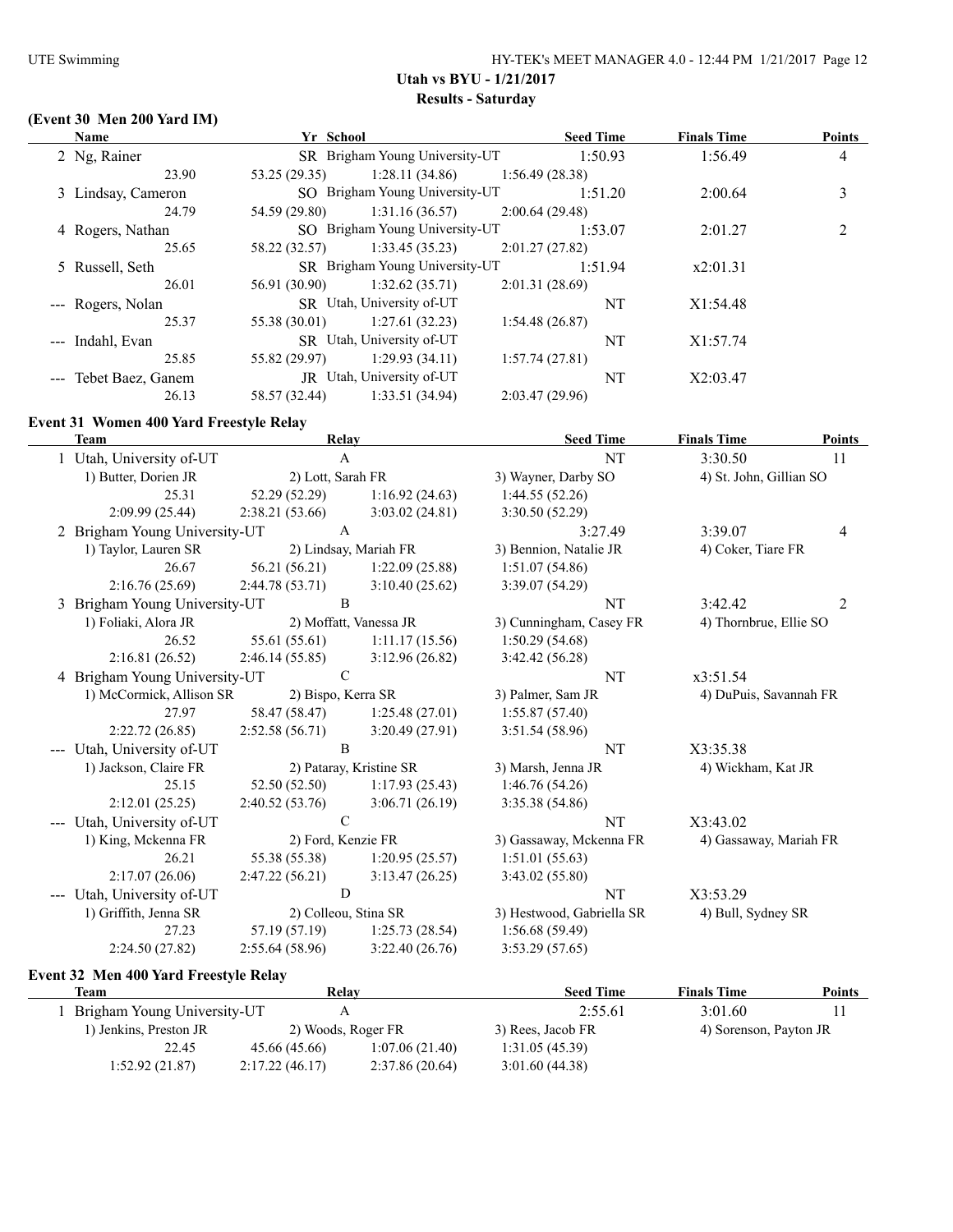# **(Event 30 Men 200 Yard IM)**

| <b>Name</b>           | Yr School                 |                                |                | <b>Seed Time</b> | <b>Finals Time</b> | <b>Points</b>  |
|-----------------------|---------------------------|--------------------------------|----------------|------------------|--------------------|----------------|
| 2 Ng, Rainer          |                           | SR Brigham Young University-UT |                | 1:50.93          | 1:56.49            | $\overline{4}$ |
| 23.90                 | 53.25(29.35)              | 1:28.11(34.86)                 | 1:56.49(28.38) |                  |                    |                |
| 3 Lindsay, Cameron    |                           | SO Brigham Young University-UT |                | 1:51.20          | 2:00.64            | 3              |
| 24.79                 | 54.59 (29.80)             | 1:31.16(36.57)                 | 2:00.64(29.48) |                  |                    |                |
| 4 Rogers, Nathan      |                           | SO Brigham Young University-UT |                | 1:53.07          | 2:01.27            | $\overline{c}$ |
| 25.65                 | 58.22 (32.57)             | 1:33.45(35.23)                 | 2:01.27(27.82) |                  |                    |                |
| 5 Russell, Seth       |                           | SR Brigham Young University-UT |                | 1:51.94          | x2:01.31           |                |
| 26.01                 | 56.91 (30.90)             | 1:32.62(35.71)                 | 2:01.31(28.69) |                  |                    |                |
| --- Rogers, Nolan     | SR Utah, University of-UT |                                |                | NT               | X1:54.48           |                |
| 25.37                 | 55.38 (30.01)             | 1:27.61(32.23)                 | 1:54.48(26.87) |                  |                    |                |
| --- Indahl, Evan      |                           | SR Utah, University of-UT      |                | NT               | X1:57.74           |                |
| 25.85                 | 55.82 (29.97)             | 1:29.93(34.11)                 | 1:57.74(27.81) |                  |                    |                |
| --- Tebet Baez, Ganem |                           | JR Utah, University of-UT      |                | NT               | X2:03.47           |                |
| 26.13                 | 58.57 (32.44)             | 1:33.51(34.94)                 | 2:03.47(29.96) |                  |                    |                |

#### **Event 31 Women 400 Yard Freestyle Relay**

| <b>Team</b>                                         | Relay                   |                        | <b>Seed Time</b>          | <b>Finals Time</b>      | <b>Points</b>  |
|-----------------------------------------------------|-------------------------|------------------------|---------------------------|-------------------------|----------------|
| 1 Utah, University of-UT                            | A                       |                        | NT                        | 3:30.50                 | 11             |
| 1) Butter, Dorien JR                                | 2) Lott, Sarah FR       |                        | 3) Wayner, Darby SO       | 4) St. John, Gillian SO |                |
| 25.31                                               | 52.29 (52.29)           | 1:16.92(24.63)         | 1:44.55(52.26)            |                         |                |
| 2:09.99 (25.44)                                     | 2:38.21(53.66)          | 3:03.02(24.81)         | 3:30.50(52.29)            |                         |                |
| 2 Brigham Young University-UT                       | A                       |                        | 3:27.49                   | 3:39.07                 | $\overline{4}$ |
| 1) Taylor, Lauren SR                                | 2) Lindsay, Mariah FR   |                        | 3) Bennion, Natalie JR    | 4) Coker, Tiare FR      |                |
| 26.67                                               | 56.21(56.21)            | 1:22.09(25.88)         | 1:51.07(54.86)            |                         |                |
| 2:16.76(25.69)                                      | 2:44.78(53.71)          | 3:10.40(25.62)         | 3:39.07 (54.29)           |                         |                |
| Brigham Young University-UT<br>3                    | B                       |                        | NT                        | 3:42.42                 | $\overline{2}$ |
| 1) Foliaki, Alora JR                                |                         | 2) Moffatt, Vanessa JR | 3) Cunningham, Casey FR   | 4) Thornbrue, Ellie SO  |                |
| 26.52                                               | 55.61 (55.61)           | 1:11.17(15.56)         | 1:50.29(54.68)            |                         |                |
| 2:16.81(26.52)                                      | 2:46.14(55.85)          | 3:12.96(26.82)         | 3:42.42(56.28)            |                         |                |
| 4 Brigham Young University-UT                       | $\mathcal{C}$           |                        | NT                        | x3:51.54                |                |
| 1) McCormick, Allison SR                            | 2) Bispo, Kerra SR      |                        | 3) Palmer, Sam JR         | 4) DuPuis, Savannah FR  |                |
| 27.97                                               | 58.47 (58.47)           | 1:25.48(27.01)         | 1:55.87(57.40)            |                         |                |
| 2:22.72(26.85)                                      | 2:52.58(56.71)          | 3:20.49(27.91)         | 3:51.54(58.96)            |                         |                |
| Utah, University of-UT                              | B                       |                        | NT                        | X3:35.38                |                |
| 1) Jackson, Claire FR                               | 2) Pataray, Kristine SR |                        | 3) Marsh, Jenna JR        | 4) Wickham, Kat JR      |                |
| 25.15                                               | 52.50 (52.50)           | 1:17.93(25.43)         | 1:46.76(54.26)            |                         |                |
| 2:12.01(25.25)                                      | 2:40.52(53.76)          | 3:06.71(26.19)         | 3:35.38 (54.86)           |                         |                |
| Utah, University of-UT<br>$\qquad \qquad -\qquad -$ | $\mathcal{C}$           |                        | NT                        | X3:43.02                |                |
| 1) King, Mckenna FR                                 | 2) Ford, Kenzie FR      |                        | 3) Gassaway, Mckenna FR   | 4) Gassaway, Mariah FR  |                |
| 26.21                                               | 55.38 (55.38)           | 1:20.95(25.57)         | 1:51.01(55.63)            |                         |                |
| 2:17.07(26.06)                                      | 2:47.22(56.21)          | 3:13.47(26.25)         | 3:43.02(55.80)            |                         |                |
| Utah, University of-UT                              | D                       |                        | NT                        | X3:53.29                |                |
| 1) Griffith, Jenna SR                               | 2) Colleou, Stina SR    |                        | 3) Hestwood, Gabriella SR | 4) Bull, Sydney SR      |                |
| 27.23                                               | 57.19 (57.19)           | 1:25.73(28.54)         | 1:56.68(59.49)            |                         |                |
| 2:24.50 (27.82)                                     | 2:55.64(58.96)          | 3:22.40(26.76)         | 3:53.29(57.65)            |                         |                |

# **Event 32 Men 400 Yard Freestyle Relay**

| ent 32 Men 400 Yard Freestyle Relay |                    |                |                   |                        |        |  |  |
|-------------------------------------|--------------------|----------------|-------------------|------------------------|--------|--|--|
| Team                                | Relay              |                | <b>Seed Time</b>  | <b>Finals Time</b>     | Points |  |  |
| Brigham Young University-UT         |                    |                | 2:55.61           | 3:01.60                |        |  |  |
| 1) Jenkins, Preston JR              | 2) Woods, Roger FR |                | 3) Rees, Jacob FR | 4) Sorenson, Payton JR |        |  |  |
| 22.45                               | 45.66 (45.66)      | 1:07.06(21.40) | 1:31.05(45.39)    |                        |        |  |  |
| 1:52.92(21.87)                      | 2:17.22(46.17)     | 2:37.86(20.64) | 3:01.60(44.38)    |                        |        |  |  |
|                                     |                    |                |                   |                        |        |  |  |